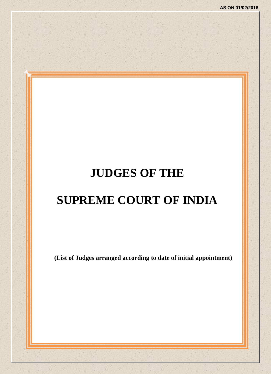## **JUDGES OF THE**

## **SUPREME COURT OF INDIA**

**(List of Judges arranged according to date of initial appointment)**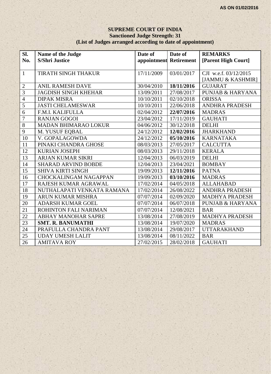#### **SUPREME COURT OF INDIA Sanctioned Judge Strength: 31 (List of Judges arranged according to date of appointment)**

| Sl.             | Name of the Judge            | Date of                | Date of    | <b>REMARKS</b>              |
|-----------------|------------------------------|------------------------|------------|-----------------------------|
| No.             | <b>S/Shri Justice</b>        | appointment Retirement |            | [Parent High Court]         |
|                 |                              |                        |            |                             |
| $\mathbf{1}$    | <b>TIRATH SINGH THAKUR</b>   | 17/11/2009             | 03/01/2017 | CJI w.e.f. 03/12/2015       |
|                 |                              |                        |            | [JAMMU & KASHMIR]           |
| $\overline{2}$  | <b>ANIL RAMESH DAVE</b>      | 30/04/2010             | 18/11/2016 | <b>GUJARAT</b>              |
| $\overline{3}$  | <b>JAGDISH SINGH KHEHAR</b>  | 13/09/2011             | 27/08/2017 | <b>PUNJAB &amp; HARYANA</b> |
| $\overline{4}$  | <b>DIPAK MISRA</b>           | 10/10/2011             | 02/10/2018 | <b>ORISSA</b>               |
| 5               | <b>JASTI CHELAMESWAR</b>     | 10/10/2011             | 22/06/2018 | <b>ANDHRA PRADESH</b>       |
| $\overline{6}$  | F.M.I. KALIFULLA             | 02/04/2012             | 22/07/2016 | <b>MADRAS</b>               |
| $\overline{7}$  | <b>RANJAN GOGOI</b>          | 23/04/2012             | 17/11/2019 | <b>GAUHATI</b>              |
| $\overline{8}$  | <b>MADAN BHIMARAO LOKUR</b>  | 04/06/2012             | 30/12/2018 | <b>DELHI</b>                |
| $\overline{9}$  | M. YUSUF EQBAL               | 24/12/2012             | 12/02/2016 | <b>JHARKHAND</b>            |
| 10              | V. GOPALAGOWDA               | 24/12/2012             | 05/10/2016 | <b>KARNATAKA</b>            |
| 11              | PINAKI CHANDRA GHOSE         | 08/03/2013             | 27/05/2017 | <b>CALCUTTA</b>             |
| 12              | <b>KURIAN JOSEPH</b>         | 08/03/2013             | 29/11/2018 | <b>KERALA</b>               |
| 13              | <b>ARJAN KUMAR SIKRI</b>     | 12/04/2013             | 06/03/2019 | <b>DELHI</b>                |
| 14              | <b>SHARAD ARVIND BOBDE</b>   | 12/04/2013             | 23/04/2021 | <b>BOMBAY</b>               |
| $\overline{15}$ | <b>SHIVA KIRTI SINGH</b>     | 19/09/2013             | 12/11/2016 | <b>PATNA</b>                |
| 16              | <b>CHOCKALINGAM NAGAPPAN</b> | 19/09/2013             | 03/10/2016 | <b>MADRAS</b>               |
| 17              | RAJESH KUMAR AGRAWAL         | 17/02/2014             | 04/05/2018 | <b>ALLAHABAD</b>            |
| 18              | NUTHALAPATI VENKATA RAMANA   | 17/02/2014             | 26/08/2022 | <b>ANDHRA PRADESH</b>       |
| 19              | <b>ARUN KUMAR MISHRA</b>     | 07/07/2014             | 02/09/2020 | <b>MADHYA PRADESH</b>       |
| 20              | <b>ADARSH KUMAR GOEL</b>     | 07/07/2014             | 06/07/2018 | <b>PUNJAB &amp; HARYANA</b> |
| 21              | ROHINTON FALI NARIMAN        | 07/07/2014             | 12/08/2021 | <b>BAR</b>                  |
| $\overline{22}$ | <b>ABHAY MANOHAR SAPRE</b>   | 13/08/2014             | 27/08/2019 | <b>MADHYA PRADESH</b>       |
| 23              | <b>SMT. R. BANUMATHI</b>     | 13/08/2014             | 19/07/2020 | <b>MADRAS</b>               |
| 24              | PRAFULLA CHANDRA PANT        | 13/08/2014             | 29/08/2017 | <b>UTTARAKHAND</b>          |
| 25              | <b>UDAY UMESH LALIT</b>      | 13/08/2014             | 08/11/2022 | <b>BAR</b>                  |
| 26              | <b>AMITAVA ROY</b>           | 27/02/2015             | 28/02/2018 | <b>GAUHATI</b>              |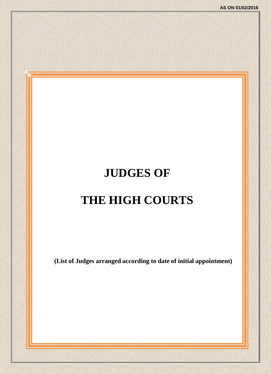# **JUDGES OF THE HIGH COURTS**

**(List of Judges arranged according to date of initial appointment)**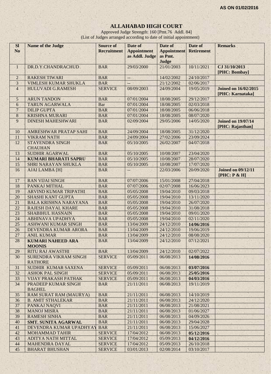## **ALLAHABAD HIGH COURT**

Approved Judge Strength: 160 [Pmt.76 Addl. 84] (List of Judges arranged according to date of initial appointment)

| <b>SI</b><br>N <sub>o</sub> | <b>Name of the Judge</b>                       | <b>Source of</b><br><b>Recruitment</b> | Date of<br><b>Appointment</b><br>as Addl. Judge | Date of<br><b>Appointment</b><br>as Pmt.<br>Judge | Date of<br><b>Retirement</b> | <b>Remarks</b>                                  |
|-----------------------------|------------------------------------------------|----------------------------------------|-------------------------------------------------|---------------------------------------------------|------------------------------|-------------------------------------------------|
| $\mathbf{1}$                | DR.D.Y.CHANDRACHUD                             | <b>BAR</b>                             | 29/03/2000                                      | 21/01/2003                                        | 10/11/2021                   | CJ 31/10/2013<br>[PHC: Bombay]                  |
| $\overline{c}$              | <b>RAKESH TIWARI</b>                           | <b>BAR</b>                             | $\overline{\phantom{a}}$                        | 14/02/2002                                        | 24/10/2017                   |                                                 |
| 3                           | <b>VIMLESH KUMAR SHUKLA</b>                    | <b>BAR</b>                             | $\overline{\phantom{a}}$                        | 21/12/2002                                        | 02/06/2017                   |                                                 |
| $\overline{4}$              | <b>HULUVADI G.RAMESH</b>                       | <b>SERVICE</b>                         | 08/09/2003                                      | 24/09/2004                                        | 19/05/2019                   | <b>Joined on 16/02/2015</b><br>[PHC: Karnataka] |
| 5                           | <b>ARUN TANDON</b>                             | <b>BAR</b>                             | 07/01/2004                                      | 18/08/2005                                        | 29/12/2017                   |                                                 |
| 6                           | <b>TARUN AGARWALA</b>                          | Bar                                    | 07/01/2004                                      | 18/08/2005                                        | 02/03/2018                   |                                                 |
| $\overline{7}$              | <b>DILIP GUPTA</b>                             | <b>BAR</b>                             | 07/01/2004                                      | 18/08/2005                                        | 06/06/2018                   |                                                 |
| $\bf 8$                     | <b>KRISHNA MURARI</b>                          | <b>BAR</b>                             | 07/01/2004                                      | 18/08/2005                                        | 08/07/2020                   |                                                 |
| 9                           | <b>DINESH MAHESHWARI</b>                       | <b>BAR</b>                             | 02/09/2004                                      | 29/05/2006                                        | 14/05/2020                   | <b>Joined on 19/07/14</b><br>[PHC: Rajasthan]   |
| 10                          | AMRESHWAR PRATAP SAHI                          | <b>BAR</b>                             | 24/09/2004                                      | 18/08/2005                                        | 31/12/2020                   |                                                 |
| 11                          | <b>VIKRAM NATH</b>                             | <b>BAR</b>                             | 24/09/2004                                      | 27/02/2006                                        | 23/09/2024                   |                                                 |
| 12                          | <b>STAYENDRA SINGH</b><br><b>CHAUHAN</b>       | <b>BAR</b>                             | 05/10/2005                                      | 26/02/2007                                        | 04/07/2018                   |                                                 |
| 13                          | <b>SUDHIR AGARWAL</b>                          | <b>BAR</b>                             | 05/10/2005                                      | 10/08/2007                                        | 23/04/2020                   |                                                 |
| 14                          | <b>KUMARI BHARATI SAPRU</b>                    | <b>BAR</b>                             | 05/10/2005                                      | 10/08/2007                                        | 28/07/2020                   |                                                 |
| 15                          | SHRI NARAYAN SHUKLA                            | <b>BAR</b>                             | 05/10/2005                                      | 10/08/2007                                        | 17/07/2020                   |                                                 |
| 16                          | <b>AJAI LAMBA [H]</b>                          | <b>BAR</b>                             | $-$                                             | 22/03/2006                                        | 20/09/2020                   | <b>Joined on 09/12/11</b><br>[PHC: P & H]       |
| 17                          | <b>RAN VIJAI SINGH</b>                         | <b>BAR</b>                             | 07/07/2006                                      | 15/01/2008                                        | 27/04/2018                   |                                                 |
| 18                          | PANKAJ MITHAL                                  | <b>BAR</b>                             | 07/07/2006                                      | 02/07/2008                                        | 16/06/2023                   |                                                 |
| 19                          | ARVIND KUMAR TRIPATHI                          | <b>BAR</b>                             | 05/05/2008                                      | 19/04/2010                                        | 09/03/2018                   |                                                 |
| 20                          | <b>SHASHI KANT GUPTA</b>                       | <b>BAR</b>                             | 05/05/2008                                      | 19/04/2010                                        | 13/11/2020                   |                                                 |
| 21                          | <b>BALA KRISHNA NARAYANA</b>                   | <b>BAR</b>                             | 05/05/2008                                      | 19/04/2010                                        | 26/07/2020                   |                                                 |
| 22                          | <b>RAJESH DAYAL KHARE</b>                      | <b>BAR</b>                             | 05/05/2008                                      | 19/04/2010                                        | 31/08/2018                   |                                                 |
| 23                          | <b>SHABIHUL HASNAIN</b>                        | <b>BAR</b>                             | 05/05/2008                                      | 19/04/2010                                        | 09/01/2020                   |                                                 |
| 24                          | ABHINAVA UPADHYA                               | <b>BAR</b>                             | 05/05/2008                                      | 19/04/2010                                        | 02/11/2020                   |                                                 |
| 25                          | <b>ASHWANI KUMAR SINGH</b>                     | <b>BAR</b>                             | 13/04/2009                                      | 24/12/2010                                        | 14/06/2016                   |                                                 |
| 26                          | DEVENDRA KUMAR ARORA                           | <b>BAR</b>                             | 13/04/2009                                      | 24/12/2010                                        | 19/06/2019                   |                                                 |
| 27                          | <b>ANIL KUMAR</b>                              | <b>BAR</b>                             | 13/04/2009                                      | 24/12/2010                                        | 08/08/2020                   |                                                 |
| 28                          | <b>KUMARI NAHEED ARA</b><br><b>MOONIS</b>      | <b>BAR</b>                             | 13/04/2009                                      | 24/12/2010                                        | 07/12/2021                   |                                                 |
| 29                          | <b>RITU RAJ AWASTHI</b>                        | <b>BAR</b>                             | 13/04/2009                                      | 24/12/2010                                        | 02/07/2022                   |                                                 |
| 30                          | <b>SURENDRA VIKRAM SINGH</b><br><b>RATHORE</b> | <b>SERVICE</b>                         | 05/09/2011                                      | 06/08/2013                                        | 14/08/2016                   |                                                 |
| 31                          | SUDHIR KUMAR SAXENA                            | <b>SERVICE</b>                         | 05/09/2011                                      | 06/08/2013                                        | 03/07/2016                   |                                                 |
| 32                          | <b>ASHOK PAL SINGH</b>                         | <b>SERVICE</b>                         | 05/09/2011                                      | 06/08/2013                                        | 25/05/2016                   |                                                 |
| 33                          | <b>VIJAY PRAKASH PATHAK</b>                    | <b>SERVICE</b>                         | 05/09/2011                                      | 06/08/2013                                        | 04/03/2016                   |                                                 |
| 34                          | PRADEEP KUMAR SINGH<br><b>BAGHEL</b>           | <b>BAR</b>                             | 21/11/2011                                      | 06/08/2013                                        | 19/11/2019                   |                                                 |
| 35                          | RAM SURAT RAM (MAURYA)                         | <b>BAR</b>                             | 21/11/2011                                      | 06/08/2013                                        | 14/10/2019                   |                                                 |
| 36                          | <b>B. AMIT STHALEKAR</b>                       | <b>BAR</b>                             | 21/11/2011                                      | 06/08/2013                                        | 24/12/2020                   |                                                 |
| 37                          | PANKAJ NAQVI                                   | <b>BAR</b>                             | 21/11/2011                                      | 06/08/2013                                        | 21/08/2021                   |                                                 |
| 38                          | <b>MANOJ MISRA</b>                             | <b>BAR</b>                             | 21/11/2011                                      | 06/08/2013                                        | 01/06/2027                   |                                                 |
| 39                          | <b>RAMESH SINHA</b>                            | <b>BAR</b>                             | 21/11/2011                                      | 06/08/2013                                        | 04/09/2026                   |                                                 |
| 40                          | <b>SMT. SUNITA AGARWAL</b>                     | <b>BAR</b>                             | 21/11/2011                                      | 06/08/2013                                        | 29/04/2028                   |                                                 |
| 41                          | DEVENDRA KUMAR UPADHYAY                        | <b>BAR</b>                             | 21/11/2011                                      | 06/08/2013                                        | 15/06/2027                   |                                                 |
| 42<br>43                    | <b>MOHAMMAD TAHIR</b>                          | <b>SERVICE</b>                         | 17/04/2012                                      | 06/08/2013                                        | 05/12/2016                   |                                                 |
| 44                          | ADITYA NATH MITTAL<br>MAHENDRA DAYAL           | <b>SERVICE</b><br><b>SERVICE</b>       | 17/04/2012<br>17/04/2012                        | 05/09/2013<br>05/09/2013                          | 04/12/2016<br>26/10/2018     |                                                 |
| 45                          | <b>BHARAT BHUSHAN</b>                          | <b>SERVICE</b>                         | 03/01/2013                                      | 02/08/2014                                        | 03/10/2017                   |                                                 |
|                             |                                                |                                        |                                                 |                                                   |                              |                                                 |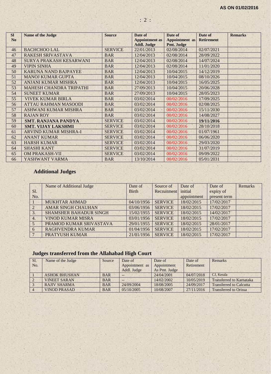| <b>SI</b><br>N <sub>o</sub> | <b>Name of the Judge</b>       | <b>Source</b>  | Date of<br><b>Appointment</b> as | Date of<br>Appointment as | Date of<br><b>Retirement</b> | <b>Remarks</b> |
|-----------------------------|--------------------------------|----------------|----------------------------------|---------------------------|------------------------------|----------------|
|                             |                                |                | <b>Addl. Judge</b>               | Pmt. Judge                |                              |                |
| 46                          | <b>BACHCHOO LAL</b>            | <b>SERVICE</b> | 22/01/2013                       | 02/08/2014                | 02/07/2021                   |                |
| 47                          | <b>RAKESH SRIVASTAVA</b>       | <b>BAR</b>     | 12/04/2013                       | 02/08/2014                | 28/09/2022                   |                |
| 48                          | <b>SURYA PRAKASH KESARWANI</b> | <b>BAR</b>     | 12/04/2013                       | 02/08/2014                | 14/07/2024                   |                |
| 49                          | <b>VIPIN SINHA</b>             | <b>BAR</b>     | 12/04/2013                       | 02/08/2014                | 11/01/2020                   |                |
| 50                          | <b>KARUNA NAND BAJPAYEE</b>    | <b>BAR</b>     | 12/04/2013                       | 10/04/2015                | 14/12/2019                   |                |
| 51                          | <b>MANOJ KUMAR GUPTA</b>       | <b>BAR</b>     | 12/04/2013                       | 10/04/2015                | 08/10/2026                   |                |
| 52                          | <b>ANJANI KUMAR MISHRA</b>     | <b>BAR</b>     | 12/04/2013                       | 10/04/2015                | 16/05/2025                   |                |
| 53                          | <b>MAHESH CHANDRA TRIPATHI</b> | <b>BAR</b>     | 27/09/2013                       | 10/04/2015                | 20/06/2028                   |                |
| 54                          | <b>SUNEET KUMAR</b>            | <b>BAR</b>     | 27/09/2013                       | 10/04/2015                | 28/05/2023                   |                |
| 55                          | <b>VIVEK KUMAR BIRLA</b>       | <b>BAR</b>     | 03/02/2014                       | 00/02/2016                | 17/09/2025                   |                |
| 56                          | <b>ATTAU RAHMAN MASOODI</b>    | <b>BAR</b>     | 03/02/2014                       | 00/02/2016                | 02/08/2025                   |                |
| 57                          | ASHWANI KUMAR MISHRA           | <b>BAR</b>     | 03/02/2014                       | 00/02/2016                | 15/11/2030                   |                |
| 58                          | <b>RAJAN ROY</b>               | <b>BAR</b>     | 03/02/2014                       | 00/02/2016                | 14/08/2027                   |                |
| 59                          | <b>SMT. RANJANA PANDYA</b>     | <b>SERVICE</b> | 03/02/2014                       | 00/02/2016                | 19/11/2016                   |                |
| 60                          | <b>SMT. VLIAY LAKSHMI</b>      | <b>SERVICE</b> | 03/02/2014                       | 00/02/2016                | 28/10/2018                   |                |
| 61                          | <b>ARVIND KUMAR MISHRA-I</b>   | <b>SERVICE</b> | 03/02/2014                       | 00/02/2016                | 01/07/1961                   |                |
| 62                          | <b>ANANT KUMAR</b>             | <b>SERVICE</b> | 03/02/2014                       | 00/02/2016                | 06/06/2020                   |                |
| 63                          | <b>HARSH KUMAR</b>             | <b>SERVICE</b> | 03/02/2014                       | 00/02/2016                | 29/03/2020                   |                |
| 64                          | <b>SHASHI KANT</b>             | <b>SERVICE</b> | 03/02/2014                       | 00/02/2016                | 31/07/2019                   |                |
| 65                          | <b>OM PRAKASH-VII</b>          | <b>SERVICE</b> | 03/02/2014                       | 00/02/2016                | 09/09/2022                   |                |
| 66                          | YASHWANT VARMA                 | <b>BAR</b>     | 13/10/2014                       | 00/02/2016                | 05/01/2031                   |                |

## **Additional Judges**

|                  | Name of Additional Judge      | Date of      | Source of      | Date of     | Date of      | <b>Remarks</b> |
|------------------|-------------------------------|--------------|----------------|-------------|--------------|----------------|
| $S1$ .           |                               | <b>Birth</b> | Recruitment    | initial     | expiry of    |                |
| No.              |                               |              |                | appointment | present term |                |
|                  | <b>MUKHTAR AHMAD</b>          | 04/10/1956   | <b>SERVICE</b> | 18/02/2015  | 17/02/2017   |                |
|                  | <b>AMAR SINGH CHAUHAN</b>     | 03/06/1956   | <b>SERVICE</b> | 18/02/2015  | 17/02/2017   |                |
| 3.               | <b>SHAMSHER BAHADUR SINGH</b> | 15/02/1955   | <b>SERVICE</b> | 18/02/2015  | 14/02/2017   |                |
| $\overline{4}$ . | <b>VINOD KUMAR MISRA</b>      | 03/01/1956   | <b>SERVICE</b> | 18/02/2015  | 17/02/2017   |                |
|                  | PRAMOD KUMAR SRIVASTAVA       | 29/01/1955   | <b>SERVICE</b> | 18/02/2015  | 28/01/2017   |                |
| 6                | <b>RAGHVENDRA KUMAR</b>       | 01/04/1956   | <b>SERVICE</b> | 18/02/2015  | 17/02/2017   |                |
|                  | PRATYUSH KUMAR                | 21/01/1956   | <b>SERVICE</b> | 18/02/2015  | 17/02/2017   |                |

## **Judges transferred from the Allahabad High Court**

| Sl. | Name of the Judge    | Source     | Date of        | Date of       | Date of    | <b>Remarks</b>                  |
|-----|----------------------|------------|----------------|---------------|------------|---------------------------------|
| No. |                      |            | Appointment as | Appointment   | Retirement |                                 |
|     |                      |            | Addl. Judge    | As Pmt. Judge |            |                                 |
|     | <b>ASHOK BHUSHAN</b> | <b>BAR</b> | --             | 24/04/2001    | 04/07/2018 | CJ. Kerala                      |
|     | <b>VINEET SARAN</b>  | <b>BAR</b> | $--$           | 14/02/2002    | 10/05/2019 | <b>Transferred to Karnataka</b> |
|     | <b>RAJIV SHARMA</b>  | <b>BAR</b> | 24/09/2004     | 18/08/2005    | 24/09/2017 | <b>Transferred to Calcutta</b>  |
|     | <b>VINOD PRASAD</b>  | <b>BAR</b> | 05/10/2005     | 10/08/2007    | 27/11/2016 | <b>Transferred to Orissa</b>    |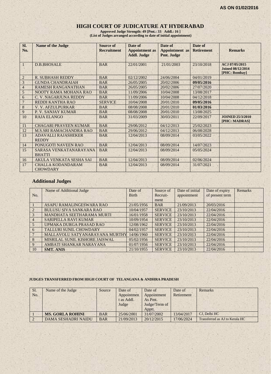#### **HIGH COURT OF JUDICATURE AT HYDERABAD**

**Approved Judge Strength: 49 [Pmt.: 33 Addl.: 16 ] (List of Judges arranged according to date of initial appointment)**

| Sl.<br>No.      | <b>Name of the Judge</b>                    | Source of<br><b>Recruitment</b> | Date of<br><b>Appointment as</b><br><b>Addl. Judge</b> | Date of<br>Appointment as<br>Pmt. Judge | Date of<br><b>Retirement</b> | <b>Remarks</b>                                              |
|-----------------|---------------------------------------------|---------------------------------|--------------------------------------------------------|-----------------------------------------|------------------------------|-------------------------------------------------------------|
|                 | <b>D.B.BHOSALE</b>                          | <b>BAR</b>                      | 22/01/2001                                             | 21/01/2003                              | 23/10/2018                   | ACJ 07/05/2015<br><b>Joined 08/12/2014</b><br>[PHC: Bombay] |
| $\overline{2}$  | <b>R. SUBHASH REDDY</b>                     | <b>BAR</b>                      | 02/12/2002                                             | 24/06/2004                              | 04/01/2019                   |                                                             |
| 3               | <b>GUNDA CHANDRAIAH</b>                     | <b>BAR</b>                      | 26/05/2005                                             | 20/02/2006                              | 09/05/2016                   |                                                             |
| $\overline{4}$  | <b>RAMESH RANGANATHAN</b>                   | <b>BAR</b>                      | 26/05/2005                                             | 20/02/2006                              | 27/07/2020                   |                                                             |
| 5               | NOOTY RAMA MOHANA RAO                       | <b>BAR</b>                      | 11/09/2006                                             | 10/04/2008                              | 13/08/2017                   |                                                             |
| 6               | C. V. NAGARJUNA REDDY                       | <b>BAR</b>                      | 11/09/2006                                             | 10/04/2008                              | 04/12/2018                   |                                                             |
| $7\phantom{.0}$ | REDDI KANTHA RAO                            | <b>SERVICE</b>                  | 10/04/2008                                             | 20/01/2010                              | 09/05/2016                   |                                                             |
| 8               | V. V. AFZULPURKAR                           | <b>BAR</b>                      | 08/08/2008                                             | 20/01/2010                              | 01/03/2016                   |                                                             |
| 9               | P. V. SANJAY KUMAR                          | <b>BAR</b>                      | 08/08/2008                                             | 20/01/2010                              | 13/08/2025                   |                                                             |
| 10              | <b>RAJA ELANGO</b>                          | <b>BAR</b>                      | 31/03/2009                                             | 30/03/2011                              | 22/09/2017                   | <b>JOINED 25/3/2010</b><br>[PHC: MADRAS]                    |
| 11              | <b>CHAGARI PRAVEEN KUMAR</b>                | <b>BAR</b>                      | 29/06/2012                                             | 04/12/2013                              | 25/02/2023                   |                                                             |
| 12              | <b>M.S.SRI RAMACHANDRA RAO</b>              | <b>BAR</b>                      | 29/06/2012                                             | 04/12/2013                              | 06/08/2028                   |                                                             |
| 13              | <b>ADAVALLI RAJASHEKER</b><br><b>REDDY</b>  | <b>BAR</b>                      | 12/04/2013                                             | 08/09/2014                              | 03/05/2022                   |                                                             |
| 14              | PONUGOTI NAVEEN RAO                         | <b>BAR</b>                      | 12/04/2013                                             | 08/09/2014                              | 14/07/2023                   |                                                             |
| 15              | SARASA VENKATANARAYANA<br><b>BHATTI</b>     | <b>BAR</b>                      | 12/04/2013                                             | 08/09/2014                              | 05/05/2024                   |                                                             |
| 16              | AKULA VENKATA SESHA SAI                     | <b>BAR</b>                      | 12/04/2013                                             | 08/09/2014                              | 02/06/2024                   |                                                             |
| 17              | <b>CHALLA KODANDARAM</b><br><b>CHOWDARY</b> | <b>BAR</b>                      | 12/04/2013                                             | 08/09/2014                              | 31/07/2021                   |                                                             |

## **Additional Judges**

|                | Name of Additional Judge       | Date of      | Source of      | Date of initial | Date of expiry  | Remarks |
|----------------|--------------------------------|--------------|----------------|-----------------|-----------------|---------|
| No.            |                                | <b>Birth</b> | Recruit-       | appointment     | of present term |         |
|                |                                |              | ment           |                 |                 |         |
|                | ASAPU RAMALINGESWARA RAO       | 21/05/1956   | <b>BAR</b>     | 21/09/2013      | 20/03/2016      |         |
|                | <b>BULUSU SIVA SANKARA RAO</b> | 10/04/1957   | <b>SERVICE</b> | 23/10/2013      | 22/04/2016      |         |
| 3              | MANDHATA SEETHARAMA MURTI      | 16/01/1958   | <b>SERVICE</b> | 23/10/2013      | 22/04/2016      |         |
| $\overline{4}$ | <b>SARIPELLA RAVI KUMAR</b>    | 10/09/1954   | <b>SERVICE</b> | 23/10/2013      | 22/04/2016      |         |
| 5              | UPMAKA DURGA PRASAD RAO        | 12/08/1962   | <b>SERVICE</b> | 23/10/2013      | 22/04/2016      |         |
| 6              | <b>TALLURI SUNIL CHOWDARY</b>  | 04/02/1957   | <b>SERVICE</b> | 23/10/2013      | 22/04/2016      |         |
|                | MALLAVOLU SATYANARAYANA MURTHY | 14/06/1960   | <b>SERVICE</b> | 23/10/2013      | 22/04/2016      |         |
| 8              | MISRILAL SUNIL KISHORE JAISWAL | 05/02/1956   | <b>SERVICE</b> | 23/10/2013      | 22/04/2016      |         |
| 9              | AMBATI SHANKAR NARAYANA        | 01/07/1956   | <b>SERVICE</b> | 23/10/2013      | 22/04/2016      |         |
| 10             | <b>SMT. ANIS</b>               | 21/10/1955   | <b>SERVICE</b> | 23/10/2013      | 22/04/2016      |         |

#### **JUDGES TRANSFERRED FROM HIGH COURT OF TELANGANA & ANDHRA PRADESH**

| Sl. | Name of the Judge          | Source     | Date of    | Date of       | Date of    | Remarks                        |
|-----|----------------------------|------------|------------|---------------|------------|--------------------------------|
| No. |                            |            | Appointmen | Appointment   | Retirement |                                |
|     |                            |            | t as Addl. | As Pmt.       |            |                                |
|     |                            |            | Judge      | Judge/Term of |            |                                |
|     |                            |            |            | Apptt.        |            |                                |
|     | <b>MS. GORLA ROHINI</b>    | <b>BAR</b> | 25/06/2001 | 31/07/2002    | 13/04/2017 | CJ. Delhi HC                   |
|     | <b>DAMA SESHADRI NAIDU</b> | <b>BAR</b> | 21/09/2013 | 20/12/2015    | 17/06/2024 | Transferred as AJ to Kerala HC |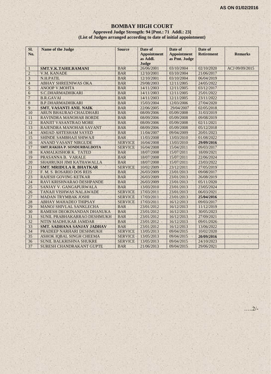#### **BOMBAY HIGH COURT Approved Judge Strength: 94 [Pmt.: 71 Addl.: 23] (List of Judges arranged according to date of initial appointment)**

| Sl.<br>No.     | <b>Name of the Judge</b>          | <b>Source</b>  | Date of<br><b>Appointment</b><br>as Addl.<br>Judge | Date of<br><b>Appointment</b><br>as Pmt. Judge | Date of<br><b>Retirement</b> | <b>Remarks</b> |
|----------------|-----------------------------------|----------------|----------------------------------------------------|------------------------------------------------|------------------------------|----------------|
| 1              | SMT.V.K.TAHILRAMANI               | <b>BAR</b>     | 26/06/2001                                         | 03/10/2004                                     | 02/10/2020                   | ACJ 09/09/2015 |
| $\overline{2}$ | <b>V.M. KANADE</b>                | <b>BAR</b>     | 12/10/2001                                         | 03/10/2004                                     | 21/06/2017                   |                |
| 3              | N.H.PATIL                         | <b>BAR</b>     | 12/10/2001                                         | 03/10/2004                                     | 06/04/2019                   |                |
| $\overline{4}$ | <b>ABHAY SHREENIWAS OKA</b>       | <b>BAR</b>     | 29/08/2003                                         | 12/11/2005                                     | 24/05/2022                   |                |
| 5              | <b>ANOOP V.MOHTA</b>              | <b>BAR</b>     | 14/11/2003                                         | 12/11/2005                                     | 03/12/2017                   |                |
| 6              | S.C.DHARMADHIKARI                 | <b>BAR</b>     | 14/11/2003                                         | 12/11/2005                                     | 25/01/2022                   |                |
| $\overline{7}$ | <b>B.R.GAVAI</b>                  | <b>BAR</b>     | 14/11/2003                                         | 12/11/2005                                     | 23/11/2022                   |                |
| $\overline{8}$ | <b>B.P.DHARMADHIKARI</b>          | <b>BAR</b>     | 15/03/2004                                         | 12/03/2006                                     | 27/04/2020                   |                |
| 9              | <b>SMT. VASANTI ANIL NAIK</b>     | <b>BAR</b>     | 22/06/2005                                         | 29/04/2007                                     | 02/05/2018                   |                |
| 10             | ARUN BHAURAO CHAUDHARI            | <b>BAR</b>     | 08/09/2006                                         | 05/09/2008                                     | 31/03/2019                   |                |
| 11             | RAVINDRA MANOHAR BORDE            | <b>BAR</b>     | 08/09/2006                                         | 05/09/2008                                     | 09/08/2019                   |                |
| 12             | RANJIT VASANTRAO MORE             | <b>BAR</b>     | 08/09/2006                                         | 05/09/2008                                     | 02/11/2021                   |                |
| 13             | RAJENDRA MANOHAR SAVANT           | <b>BAR</b>     | 08/09/2006                                         | 05/09/2008                                     | 05/12/2018                   |                |
| 14             | <b>AMJAD AHTESHAM SAYED</b>       | <b>BAR</b>     | 11/04/2007                                         | 09/04/2009                                     | 20/01/2023                   |                |
| 15             | SHINDE SAMBHAJI SHIWAJI           | <b>BAR</b>     | 11/03/2008                                         | 13/03/2010                                     | 01/08/2022                   |                |
| 16             | <b>ANAND VASANT NIRGUDE</b>       | <b>SERVICE</b> | 16/04/2008                                         | 13/03/2010                                     | 29/09/2016                   |                |
| 17             | SMT.RAKHA P. SONDURBALDOTA        | <b>SERVICE</b> | 16/04/2008                                         | 15/04/2011                                     | 09/03/2017                   |                |
| 18             | KAMALKISHOR K. TATED              | <b>BAR</b>     | 18/07/2008                                         | 15/07/2011                                     | 18/09/2021                   |                |
| 19             | PRASANNA B. VARALE                | <b>BAR</b>     | 18/07/2008                                         | 15/07/2011                                     | 22/06/2024                   |                |
| 20             | SHAHRUKH JIMI KATHAWALLA          | <b>BAR</b>     | 18/07/2008                                         | 15/07/2011                                     | 23/03/2022                   |                |
| 21             | <b>SMT. MRIDULA R. BHATKAR</b>    | <b>SERVICE</b> | 10/02/2009                                         | 23/12/2011                                     | 27/05/2019                   |                |
| 22             | F. M. S. ROSARIO DOS REIS         | <b>BAR</b>     | 26/03/2009                                         | 23/01/2013                                     | 09/08/2017                   |                |
| 23             | <b>RAJESH GOVING KETKAR</b>       | <b>BAR</b>     | 26/03/2009                                         | 23/01/2013                                     | 26/08/2019                   |                |
| 24             | RAVI KRISHNARAO DESHPANDE         | <b>BAR</b>     | 26/03/2009                                         | 23/01/2013                                     | 05/11/2020                   |                |
| 25             | SANJAY V. GANGAPURWALA            | <b>BAR</b>     | 13/03/2010                                         | 23/01/2013                                     | 23/05/2024                   |                |
| 26             | TANAJI VISHWAS NALAWADE           | <b>SERVICE</b> | 17/03/2011                                         | 23/01/2013                                     | 06/03/2021                   |                |
| 27             | <b>MADAN TRYMBAK JOSHI</b>        | <b>SERVICE</b> | 17/03/2011                                         | 23/01/2013                                     | 25/04/2016                   |                |
| 28             | <b>ABHAY MAHADEO THIPSAY</b>      | <b>SERVICE</b> | 17/03/2011                                         | 16/12/2013                                     | 09/03/2017                   |                |
| 29             | MANOJ SHIVLAL SANKLECHA           | <b>BAR</b>     | 23/01/2012                                         | 16/12/2013                                     | 11/12/2019                   |                |
| 30             | RAMESH DEOKINANDAN DHANUKA        | <b>BAR</b>     | 23/01/2012                                         | 16/12/2013                                     | 30/05/2023                   |                |
| 31             | SUNIL PRABHAKARRAO DESHMUKH       | <b>BAR</b>     | 23/01/2012                                         | 16/12/2013                                     | 27/09/2021                   |                |
| 32             | NITIN MADHUKAR JAMDAR             | <b>BAR</b>     | 23/01/2012                                         | 16/12/2013                                     | 09/01/2026                   |                |
| 33             | <b>SMT. SADHANA SANJAY JADHAV</b> | <b>BAR</b>     | 23/01/2012                                         | 16/12/2013                                     | 13/06/2022                   |                |
| 34             | PRADEEP NARHARI DESHMUKH          | <b>SERVICE</b> | 13/05/2013                                         | 09/04/2015                                     | 10/02/2020                   |                |
| 35             | ASHOK IQBAL SINGH CHEEMA          | <b>SERVICE</b> | 13/05/2013                                         | 09/04/2015                                     | 20/09/2016                   | ×.             |
| 36             | SUNIL BALKRISHNA SHUKRE           | <b>SERVICE</b> | 13/05/2013                                         | 09/04/2015                                     | 24/10/2023                   |                |
| 37             | SURESH CHANDRAKANT GUPTE          | <b>BAR</b>     | 21/06/2013                                         | 09/04/2015                                     | 29/06/2021                   |                |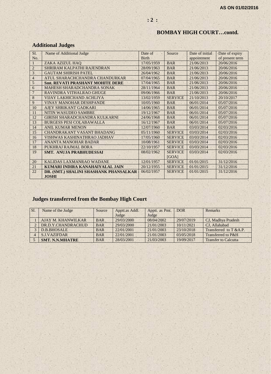## **BOMBAY HIGH COURT…contd.**

## **Additional Judges**

| SI.            | Name of Additional Judge                | Date of      | Source         | Date of initial | Date of expiry  |
|----------------|-----------------------------------------|--------------|----------------|-----------------|-----------------|
| No.            |                                         | <b>Birth</b> |                | appointment     | of present term |
|                | ZAKA AZIZUL HAO                         | 17/05/1959   | <b>BAR</b>     | 21/06/2013      | 20/06/2016      |
| $\overline{2}$ | SHRIRAM KALPATHI RAJENDRAN              | 28/09/1963   | <b>BAR</b>     | 21/06/2013      | 20/06/2016      |
| 3              | <b>GAUTAM SHIRISH PATEL</b>             | 26/04/1962   | <b>BAR</b>     | 21/06/2013      | 20/06/2016      |
| $\overline{4}$ | ATUL SHARACHCHANDRA CHANDURKAR          | 07/04/1965   | <b>BAR</b>     | 21/06/2013      | 20/06/2016      |
| 5              | <b>Smt. REVATI PRASHANT MOHITE DERE</b> | 17/04/1965   | <b>BAR</b>     | 21/06/2013      | 20/06/2016      |
| 6              | <b>MAHESH SHARADCHANDRA SONAK</b>       | 28/11/1964   | <b>BAR</b>     | 21/06/2013      | 20/06/2016      |
| 7              | RAVINDRA VITHALRAO GHUGE                | 09/06/1966   | <b>BAR</b>     | 21/06/2013      | 20/06/2016      |
| 8              | VIJAY LAKHICHAND ACHLIYA                | 13/02/1959   | <b>SERVICE</b> | 21/10/2013      | 20/10/2017      |
| 9              | <b>VINAY MANOHAR DESHPANDE</b>          | 10/05/1960   | <b>BAR</b>     | 06/01/2014      | 05/07/2016      |
| 10             | AJEY SHRIKANT GADKARI                   | 14/06/1965   | <b>BAR</b>     | 06/01/2014      | 05/07/2016      |
| 11             | NITIN WASUDEO SAMBRE                    | 19/12/1967   | <b>BAR</b>     | 06/01/2014      | 05/07/2016      |
| 12             | GIRISH SHARADCHANDRA KULKARNI           | 24/06/1968   | <b>BAR</b>     | 06/01/2014      | 05/07/2016      |
| 13             | <b>BURGESS PESI COLABAWALLA</b>         | 16/12/1967   | <b>BAR</b>     | 06/01/2014      | 05/07/2016      |
| 14             | <b>ANIL KUMAR MENON</b>                 | 12/07/1960   | <b>BAR</b>     | 03/03/2014      | 02/03/2016      |
| 15             | <b>CHANDRAKANT VASANT BHADANG</b>       | 0.5/11/1960  | <b>SERVICE</b> | 03/03/2014      | 02/03/2016      |
| 16             | VISHWAS KASHINATHRAO JADHAV             | 17/05/1960   | <b>SERVICE</b> | 03/03/2014      | 02/03/2016      |
| 17             | <b>ANANTA MANOHAR BADAR</b>             | 10/08/1961   | <b>SERVICE</b> | 03/03/2014      | 02/03/2016      |
| 18             | PUKHRAJ RAJMAL BORA                     | 22/10/1957   | <b>SERVICE</b> | 03/03/2014      | 02/03/2016      |
| 19             | <b>SMT. ANUJA PRABHUDESSAI</b>          | 08/02/1962   | <b>SERVICE</b> | 03/03/2014      | 02/03/2016      |
|                |                                         |              | [GOA]          |                 |                 |
| 20             | KALIDAS LAXMANRAO WADANE                | 12/01/1957   | <b>SERVICE</b> | 01/01/2015      | 31/12/2016      |
| 21             | KUMARI INDIRA KANAHAIYALAL JAIN         | 20/12/1955   | <b>SERVICE</b> | 01/01/2015      | 31/12/2016      |
| 22             | DR. (SMT.) SHALINI SHASHANK PHANSALKAR  | 06/02/1957   | <b>SERVICE</b> | 01/01/2015      | 31/12/2016      |
|                | <b>JOSHI</b>                            |              |                |                 |                 |

## **Judges transferred from the Bombay High Court**

| SI. | Name of the Judge      | Source     | Apptt.as Addl. | Apptt. as Pmt. | <b>DOR</b> | <b>Remarks</b>              |
|-----|------------------------|------------|----------------|----------------|------------|-----------------------------|
|     |                        |            | Judge          | Judge          |            |                             |
|     | AJAY M. KHANWILKAR     | <b>BAR</b> | 29/03/2000     | 08/04/2002     | 29/07/2019 | CJ, Madhya Pradesh          |
|     | DR.D.Y.CHANDRACHUD     | <b>BAR</b> | 29/03/2000     | 21/01/2003     | 10/11/2021 | CJ. Allahabad               |
|     | D.B.BHOSALE            | <b>BAR</b> | 22/01/2001     | 21/01/2003     | 23/10/2018 | Transferred to T &A.P.      |
|     | <b>S.J.VAZIFDAR</b>    | <b>BAR</b> | 22/01/2001     | 21/01/2003     | 03/05/2018 | Transferred to P&H          |
|     | <b>SMT. N.N.MHATRE</b> | <b>BAR</b> | 28/03/2001     | 21/03/2003     | 19/09/2017 | <b>Transfer to Calcutta</b> |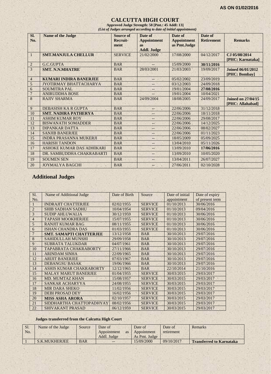#### **CALCUTTA HIGH COURT**

**Approved Judge Strength: 58 [Pmt.: 45 Addl: 13]** *(List of Judges arranged according to date of initial appointment)*

| Sl.            | <b>Name of the Judge</b>      | <b>Source of</b> | Date of            | Date of            | Date of           |                           |
|----------------|-------------------------------|------------------|--------------------|--------------------|-------------------|---------------------------|
| No.            |                               | Recruit-         | <b>Appointment</b> | <b>Appointment</b> | <b>Retirement</b> | <b>Remarks</b>            |
|                |                               | ment             | <b>as</b>          | as Pmt.Judge       |                   |                           |
|                |                               |                  | <b>Addl. Judge</b> |                    |                   |                           |
| 1              | <b>SMT.MANJULA CHELLUR</b>    | <b>SERVICE</b>   | 21/02/2000         | 17/08/2000         | 04/12/2017        | CJ 05/08/2014             |
|                |                               |                  |                    |                    |                   | [PHC: Karnataka]          |
| $\overline{2}$ | <b>G.C.GUPTA</b>              | <b>BAR</b>       |                    | 15/09/2000         | 30/11/2016        |                           |
| 3              | <b>SMT. N.N.MHATRE</b>        | <b>BAR</b>       | 28/03/2001         | 21/03/2003         | 19/09/2017        | <b>Joined 06/01/2012</b>  |
|                |                               |                  |                    |                    |                   | [PHC: Bombay]             |
| $\overline{4}$ | <b>KUMARI INDIRA BANERJEE</b> | <b>BAR</b>       |                    | 05/02/2002         | 23/09/2019        |                           |
| 5              | JYOTIRMAY BHATTACHARYA        | <b>BAR</b>       | $-$                | 03/12/2003         | 24/09/2018        |                           |
| 6              | <b>SOUMITRA PAL</b>           | <b>BAR</b>       | $--$               | 19/01/2004         | 27/08/2016        |                           |
| $\overline{7}$ | <b>ANIRUDDHA BOSE</b>         | <b>BAR</b>       |                    | 19/01/2004         | 10/04/2021        |                           |
| 8              | <b>RAJIV SHARMA</b>           | <b>BAR</b>       | 24/09/2004         | 18/08/2005         | 24/09/2017        | <b>Joined on 27/04/15</b> |
|                |                               |                  |                    |                    |                   | [PHC: Allahabad]          |
| 9              | DEBASISH KA R GUPTA           | <b>BAR</b>       | --                 | 22/06/2006         | 31/12/2018        |                           |
| 10             | <b>SMT. NADIRA PATHERYA</b>   | <b>BAR</b>       | $-1$               | 22/06/2006         | 18/11/2018        |                           |
| 11             | <b>ASHIM KUMAR ROY</b>        | <b>BAR</b>       | $-$                | 22/06/2006         | 29/08/2017        |                           |
| 12             | <b>BISWANATH SOMADDER</b>     | <b>BAR</b>       | $--$               | 22/06/2006         | 14/12/2025        |                           |
| 13             | <b>DIPANKAR DATTA</b>         | <b>BAR</b>       | --                 | 22/06/2006         | 08/02/2027        |                           |
| 14             | <b>SANJIB BANERJEE</b>        | <b>BAR</b>       | $-$                | 22/06/2006         | 01/11/2023        |                           |
| 15             | <b>INDRA PRASANNA MUKERJI</b> | <b>BAR</b>       | $-$                | 18/05/2009         | 05/09/2025        |                           |
| 16             | <b>HARISH TANDON</b>          | <b>BAR</b>       | $-$                | 13/04/2010         | 05/11/2026        |                           |
| 17             | ASHOKE KUMAR DAS ADHIKARI     | <b>BAR</b>       | $-$                | 13/09/2010         | 17/06/2016        |                           |
| 18             | DR. SAMBUDDHA CHAKRABARTI     | <b>BAR</b>       | $-$                | 13/09/2010         | 10/05/2020        |                           |
| 19             | <b>SOUMEN SEN</b>             | <b>BAR</b>       | $-$                | 13/04/2011         | 26/07/2027        |                           |
| 20             | <b>JOYMALYA BAGCHI</b>        | <b>BAR</b>       | 97                 | 27/06/2011         | 02/10/2028        |                           |

## **Additional Judges**

| SI.            | Name of Additional Judge       | Date of Birth | Source         | Date of initial | Date of expiry  |
|----------------|--------------------------------|---------------|----------------|-----------------|-----------------|
| No.            |                                |               |                | appointment     | of present term |
|                | <b>INDRAJIT CHATTERJEE</b>     | 02/02/1955    | <b>SERVICE</b> | 01/10/2013      | 30/06/2016      |
| $\mathfrak{D}$ | <b>SHIB SADHAN SADHU</b>       | 10/04/1954    | <b>SERVICE</b> | 01/10/2013      | 09/04/2016      |
| 3              | <b>SUDIP AHLUWALIA</b>         | 30/12/1959    | <b>SERVICE</b> | 01/10/2013      | 30/06/2016      |
| $\overline{4}$ | <b>TAPASH MOOKHERJEE</b>       | 15/07/1955    | <b>SERVICE</b> | 01/10/2013      | 30/06/2016      |
| 5              | <b>RANJIT KUMAR BAG</b>        | 08/11/1955    | <b>SERVICE</b> | 01/10/2013      | 30/06/2016      |
| 6              | <b>ISHAN CHANDRA DAS</b>       | 01/03/1955    | <b>SERVICE</b> | 01/10/2013      | 30/06/2016      |
|                | <b>SMT. SAMAPTI CHATTERJEE</b> | 13/12/1958    | <b>BAR</b>     | 30/10/2013      | 29/07/2016      |
| 8              | <b>SAHIDULLAH MUNSHI</b>       | 29/09/1958    | <b>BAR</b>     | 30/10/2013      | 29/07/2016      |
| 9              | <b>SUBRATA TALUKDAR</b>        | 04/07/1961    | <b>BAR</b>     | 30/10/2013      | 29/07/2016      |
| 10             | TAPABRATA CHAKRABORTY          | 27/11/1966    | <b>BAR</b>     | 30/10/2013      | 29/07/2016      |
| 11             | <b>ARINDAM SINHA</b>           | 22/09/1965    | <b>BAR</b>     | 30/10/2013      | 29/07/2016      |
| 12             | <b>ARLIIT BANERJEE</b>         | 07/03/1967    | <b>BAR</b>     | 30/10/2013      | 29/07/2016      |
| 13             | <b>DEBANGSU BASAK</b>          | 19/06/1966    | <b>BAR</b>     | 30/10/2013      | 29/07/2016      |
| 14             | ASHIS KUMAR CHAKRABORTY        | 12/12/1965    | <b>BAR</b>     | 22/10/2014      | 21/10/2016      |
| 15             | <b>MALAY MARUT BANERJEE</b>    | 01/04/1955    | <b>SERVICE</b> | 30/03/2015      | 29/03/2017      |
| 16             | <b>MD. MUMTAZ KHAN</b>         | 15/08/1957    | <b>SERVICE</b> | 30/03/2015      | 29/03/2017      |
| 17             | <b>SANKAR ACHARYYA</b>         | 24/08/1955    | <b>SERVICE</b> | 30/03/2015      | 29/03/2017      |
| 18             | <b>MIR DARA SHEKO</b>          | 11/02/1956    | <b>SERVICE</b> | 30/03/2015      | 29/03/2017      |
| 19             | <b>DEBI PROSAD DEY</b>         | 16/02/1956    | <b>SERVICE</b> | 30/03/2015      | 29/03/2017      |
| 20             | <b>MISS ASHA ARORA</b>         | 02/10/1957    | <b>SERVICE</b> | 30/03/2015      | 29/03/2017      |
| 21             | SIDDHARTHA CHATTOPADHYAY       | 08/02/1956    | <b>SERVICE</b> | 30/03/2015      | 29/03/2017      |
| 22             | <b>SHIVAKANT PRASAD</b>        | 06/12/1959    | <b>SERVICE</b> | 30/03/2015      | 29/03/2017      |

#### **Judges transferred from the Calcutta High Court**

| Sl. | Name of the Judge | Source     | Date of     |           | Date of       | Date of    | <b>Remarks</b>                  |
|-----|-------------------|------------|-------------|-----------|---------------|------------|---------------------------------|
| No. |                   |            | Appointment | <b>as</b> | Appointment   | retirement |                                 |
|     |                   |            | Addl. Judge |           | As Pmt. Judge |            |                                 |
|     | S.K.MUKHERJEE     | <b>BAR</b> | $--$        |           | 15/09/2000    | 09/10/2017 | <b>Transferred to Karnataka</b> |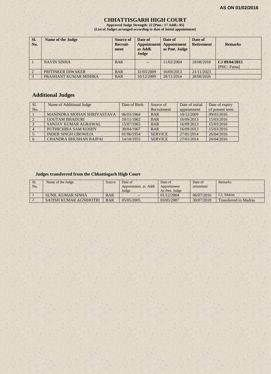#### **CHHATTISGARH HIGH COURT**

**Approved Judge Strength: 22 [Pmt.: 17 Addl.: 05] (List of Judges arranged according to date of initial appointment)**

| SI.<br>No.     | <b>Name of the Judge</b> | <b>Source of</b><br>Recruit-<br>ment | Date of<br>Appointment<br>as Addl.<br>Judge | Date of<br>Appointment<br>as Pmt. Judge | Date of<br><b>Retirement</b> | <b>Remarks</b>                |
|----------------|--------------------------|--------------------------------------|---------------------------------------------|-----------------------------------------|------------------------------|-------------------------------|
|                | <b>NAVIN SINHA</b>       | <b>BAR</b>                           | $--$                                        | 11/02/2004                              | 18/08/2018                   | CJ 09/04/2015<br>[PHC: Patna] |
| $\overline{2}$ | <b>PRITINKER DIWAKER</b> | <b>BAR</b>                           | 31/03/2009                                  | 10/09/2013                              | 21/11/2023                   |                               |
|                | PRASHANT KUMAR MISHRA    | <b>BAR</b>                           | 10/12/2009                                  | 28/11/2014                              | 28/08/2026                   |                               |

## **Additional Judges**

| Sl. | Name of Additional Judge          | Date of Birth | Source of      | Date of initial | Date of expiry  |
|-----|-----------------------------------|---------------|----------------|-----------------|-----------------|
| No. |                                   |               | Recruitment    | appointment     | of present term |
|     | <b>MANINDRA MOHAN SHRIVASTAVA</b> | 06/03/1964    | <b>BAR</b>     | 10/12/2009      | 09/03/2016      |
|     | <b>GOUTAM BHADURI</b>             | 10/11/1962    | <b>BAR</b>     | 16/09/2013      | 15/03/2016      |
|     | SANJAY KUMAR AGRAWAL              | 15/07/1965    | <b>BAR</b>     | 16/09/2013      | 15/03/2016      |
|     | PUTHICHIRA SAM KOSHY              | 30/04/1967    | <b>BAR</b>     | 16/09/2013      | 15/03/2016      |
|     | <b>INDER SINGH UBOWEJA</b>        | 01/06/1954    | <b>SERVICE</b> | 27/01/2014      | 26/04/2016      |
|     | <b>CHANDRA BHUSHAN BAJPAL</b>     | 14/10/1955    | <b>SERVICE</b> | 27/01/2014      | 26/04/2016      |

## **Judges transferred from the Chhattisgarh High Court**

| S <sub>1</sub><br>No. | Name of the Judge      | Source     | Date of<br>Appointment as Addl.<br>Judge | Date of<br>Appointment<br>As Pmt. Judge | Date of<br>retirement | Remarks                      |
|-----------------------|------------------------|------------|------------------------------------------|-----------------------------------------|-----------------------|------------------------------|
|                       | SUNIL KUMAR SINHA      | <b>BAR</b> | $- -$                                    | 01/12/2004                              | 06/07/2016            | CJ. Sikkim                   |
|                       | SATISH KUMAR AGNIHOTRI | <b>BAR</b> | 05/05/2005                               | 03/05/2007                              | 30/07/2018            | <b>Transferred to Madras</b> |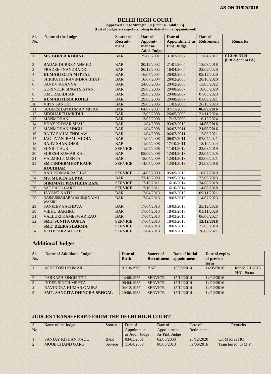#### **DELHI HIGH COURT**

**Approved Judge Strength: 60 [Pmt.: 45 Addl.: 15] (List of Judges arranged according to date of initial appointment)**

| SI.            | <b>Name of the Judge</b>                  | <b>Source of</b> | Date of            | Date of               | Date of           |                                    |
|----------------|-------------------------------------------|------------------|--------------------|-----------------------|-------------------|------------------------------------|
| No.            |                                           | <b>Recruit-</b>  | Appoint-           | <b>Appointment</b> as | <b>Retirement</b> | <b>Remarks</b>                     |
|                |                                           | ment             | ment as            | Pmt. Judge            |                   |                                    |
|                |                                           |                  | <b>Addl. Judge</b> |                       |                   |                                    |
| $\mathbf{1}$   | <b>MS. GORLA ROHINI</b>                   | <b>BAR</b>       | 25/06/2001         | 31/07/2002            | 13/04/2017        | CJ 21/04/2014<br>[PHC: Andhra Pd.] |
| $\overline{2}$ | <b>BADAR DURREZ AHMED</b>                 | <b>BAR</b>       | 20/12/2002         | 21/01/2004            | 15/03/2018        |                                    |
| 3              | <b>PRADEEP NANDRAJOG</b>                  | <b>BAR</b>       | 20/12/2002         | 16/04/2004            | 23/02/2020        |                                    |
| $\overline{4}$ | <b>KUMARI GITA MITTAL</b>                 | <b>BAR</b>       | 16/07/2004         | 20/02/2006            | 08/12/2020        |                                    |
| 5              | SHRIPATHI RAVINDRA BHAT                   | <b>BAR</b>       | 16/07/2004         | 20/02/2006            | 20/10/2020        |                                    |
| 6              | <b>SANJIV KHANNA</b>                      | <b>BAR</b>       | 24/06/2005         | 20/02/2006            | 13/05/2022        |                                    |
| $\overline{7}$ | <b>GURINDER SINGH SISTANI</b>             | <b>BAR</b>       | 29/05/2006         | 29/08/2007            | 10/03/2020        |                                    |
| 8              | <b>S.MURALIDHAR</b>                       | <b>BAR</b>       | 29/05/2006         | 29/08/2007            | 07/08/2023        |                                    |
| 9              | <b>KUMARI HIMA KOHLI</b>                  | <b>BAR</b>       | 29/05/2006         | 29/08/2007            | 01/09/2021        |                                    |
| 10             | <b>VIPIN SANGHI</b>                       | <b>BAR</b>       | 29/05/2006         | 11/02/2008            | 26/10/2023        |                                    |
| 11             | SUDERSHAN KUMAR MISRA                     | <b>BAR</b>       | 04/07/2007         | 07/11/2008            | 06/09/2016        |                                    |
| 12             | SIDDHARTH MRIDUL                          | <b>BAR</b>       | 13/03/2008         | 26/05/2009            | 21/11/2024        |                                    |
| 13             | <b>MANMOHAN</b>                           | <b>BAR</b>       | 13/03/2008         | 17/12/2009            | 16/12/2024        |                                    |
| 14             | <b>VIJAY KUMAR SHALI</b>                  | <b>BAR</b>       | 11/04/2008         | 03/03/2010            | 14/06/2016        |                                    |
| 15             | <b>MANMOHAN SINGH</b>                     | <b>BAR</b>       | 11/04/2008         | 06/07/2011            | 21/09/2016        |                                    |
| 16             | <b>RAJIV SAHAI ENDLAW</b>                 | <b>BAR</b>       | 11/04/2008         | 06/07/2011            | 12/08/2021        |                                    |
| 17             | <b>JAG JIVAN RAM MIDHA</b>                | <b>BAR</b>       | 11/04/2008         | 06/07/2011            | 07/07/2021        |                                    |
| 18             | <b>RAJIV SHAKDHER</b>                     | <b>BAR</b>       | 11/04/2008         | 17/10/2011            | 18/10/2024        |                                    |
| 19             | <b>SUNIL GAUR</b>                         | <b>SERVICE</b>   | 11/04/2008         | 11/04/2012            | 22/08/2019        |                                    |
| 20             | <b>SURESH KUMAR KAIT</b>                  | <b>BAR</b>       | 05/09/2008         | 12/04/2013            | 23/05/2025        |                                    |
| 21             | <b>VALMIKI J. MEHTA</b>                   | <b>BAR</b>       | 15/04/2009         | 12/04/2013            | 05/06/2021        |                                    |
| 22             | <b>SMT.INDERMEET KAUR</b>                 | <b>SERVICE</b>   | 14/05/2009         | 12/04/2013            | 21/03/2018        |                                    |
|                | <b>KOCHHAR</b>                            |                  |                    |                       |                   |                                    |
| 23             | <b>ANIL KUMAR PATHAK</b>                  | <b>SERVICE</b>   | 14/05/2009         | 05/09/2013            | 10/07/2019        |                                    |
| 24             | <b>MS. MUKTA GUPTA</b>                    | <b>BAR</b>       | 23/10/2009         | 29/05/2014            | 27/06/2023        |                                    |
| 25             | <b>SHRIMATI PRATIBHA RANI</b>             | <b>SERVICE</b>   | 17/10/2011         | 16/10/2014            | 24/08/2018        |                                    |
| 26             | <b>SAT PAUL GARG</b>                      | <b>SERVICE</b>   | 17/10/2011         | 16/10/2014            | 14/06/2018        |                                    |
| 27             | <b>JAYANT NATH</b>                        | <b>BAR</b>       | 17/04/2013         | 18/03/2015            | 09/11/2021        |                                    |
| 28             | NAJMUSSAHAR WAZIRI@NAJMI<br><b>WAZIRI</b> | <b>BAR</b>       | 17/04/2013         | 18/03/2015            | 14/07/2023        |                                    |
| 29             | <b>SANJEEV SACHDVA</b>                    | <b>BAR</b>       | 17/04/2013         | 18/03/2015            | 25/12/2026        |                                    |
| 30             | <b>VIBHU BAKHRU</b>                       | <b>BAR</b>       | 17/04/2013         | 18/03/2015            | 01/11/2028        |                                    |
| 31             | VALLURI KAMESWAR RAO                      | <b>BAR</b>       | 17/04/2013         | 18/03/2015            | 06/08/2027        |                                    |
| 32             | <b>SMT. SUNITA GUPTA</b>                  | <b>SERVICE</b>   | 17/04/2013         | 18/03/2015            | 13/12/2016        |                                    |
| 33             | <b>SMT. DEEPA SHARMA</b>                  | <b>SERVICE</b>   | 17/04/2013         | 18/03/2015            | 27/05/2018        |                                    |
| 34             | <b>VED PRAKASH VAISH</b>                  | <b>SERVICE</b>   | 17/04/2013         | 18/03/2015            | 26/06/2021        |                                    |

## **Additional Judges**

| SI.<br>No.     | <b>Name of Additional Judge</b>    | Date of<br><b>Birth</b> | Source of<br><b>Recruitment</b> | Date of initial<br>appointment | Date of expiry<br>of present<br>term |                 |
|----------------|------------------------------------|-------------------------|---------------------------------|--------------------------------|--------------------------------------|-----------------|
|                | <b>ASHUTOSH KUMAR</b>              | 01/10/1966              | <b>BAR</b>                      | 15/05/2014                     | 14/05/2016                           | Joined 7.1.2015 |
|                |                                    |                         |                                 |                                |                                      | PHC: Patna      |
| $\overline{2}$ | PARKASH SINGH TEJI                 | 14/08/1956              | <b>SERVICE</b>                  | 15/12/2014                     | 14/12/2016                           |                 |
|                | <b>INDER SINGH MEHTA</b>           | 06/04/1958              | <b>SERVICE</b>                  | 15/12/2014                     | 14/12/2016                           |                 |
|                | <b>RAVINDRA KUMAR GAUBA</b>        | 04/12/1957              | <b>SERVICE</b>                  | 15/12/2014                     | 14/12/2016                           |                 |
|                | <b>SMT. SANGITA DHINGRA SEHGAL</b> | 20/06/1958              | <b>SERVICE</b>                  | 15/12/2014                     | 14/12/2016                           |                 |

## **JUDGES TRANSFERRED FROM THE DELHI HIGH COURT**

| Sl. | Name of the Judge      | Source     | Date of                    | Date of       | Date of    | Remarks             |
|-----|------------------------|------------|----------------------------|---------------|------------|---------------------|
| No. |                        |            | Appointment<br>Appointment |               | Retirement |                     |
|     |                        |            | as Addl. Judge             | As Pmt. Judge |            |                     |
|     | SANJAY KISHAN KAUL     | <b>BAR</b> | 03/05/2001                 | 02/05/2003    | 25/12/2020 | CJ. Madras HC       |
|     | <b>MOOL CHAND GARG</b> | Service    | 1/04/2008                  | 00/06/2013    | 09/06/2016 | Transferred to M.P. |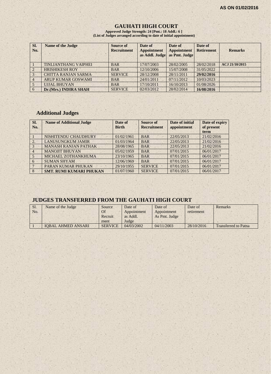## **GAUHATI HIGH COURT**

**Approved Judge Strength: 24 [Pmt.: 18 Addl.: 6 ] (List of Judges arranged according to date of initial appointment)**

| SI.<br>No. | <b>Name of the Judge</b>    | <b>Source of</b><br><b>Recruitment</b> | Date of<br><b>Appointment</b><br>as Addl. Judge | Date of<br>Appointment<br>as Pmt. Judge | Date of<br><b>Retirement</b> | <b>Remarks</b> |
|------------|-----------------------------|----------------------------------------|-------------------------------------------------|-----------------------------------------|------------------------------|----------------|
|            | <b>TINLIANTHANG VAIPHEI</b> | <b>BAR</b>                             | 17/07/2003                                      | 28/02/2005                              | 28/02/2018                   | ACJ 21/10/2015 |
|            | <b>HRISHIKESH ROY</b>       | <b>BAR</b>                             | 12/10/2006                                      | 15/07/2008                              | 31/05/2022                   |                |
|            | <b>CHITTA RANJAN SARMA</b>  | <b>SERVICE</b>                         | 28/12/2008                                      | 28/11/2011                              | 29/02/2016                   |                |
|            | <b>ARUP KUMAR GOSWAMI</b>   | <b>BAR</b>                             | 24/01/2011                                      | 07/11/2012                              | 10/03/2023                   |                |
|            | <b>UJJAL BHUYAN</b>         | <b>BAR</b>                             | 17/10/2011                                      | 16/10/2013                              | 01/08/2026                   |                |
| -6         | Dr.(Mrs.) INDIRA SHAH       | <b>SERVICE</b>                         | 02/03/2012                                      | 28/02/2014                              | 16/08/2016                   |                |

## **Additional Judges**

| Sl.<br>No.     | <b>Name of Additional Judge</b> | Date of<br><b>Birth</b> | Source of<br><b>Recruitment</b> | Date of initial<br>appointment | Date of expiry<br>of present<br>term |
|----------------|---------------------------------|-------------------------|---------------------------------|--------------------------------|--------------------------------------|
|                | NISHITENDU CHAUDHURY            | 01/02/1961              | <b>BAR</b>                      | 22/05/2013                     | 21/02/2016                           |
| 2.             | <b>LANUSUNGKUM JAMIR</b>        | 01/03/1964              | <b>BAR</b>                      | 22/05/2013                     | 21/02/2016                           |
| 3              | <b>MANASH RANJAN PATHAK</b>     | 28/08/1965              | <b>BAR</b>                      | 22/05/2013                     | 21/02/2016                           |
| $\overline{4}$ | <b>MANOJIT BHUYAN</b>           | 05/02/1959              | <b>BAR</b>                      | 07/01/2015                     | 06/01/2017                           |
| $\overline{5}$ | MICHAEL ZOTHANKHUMA             | 23/10/1965              | <b>BAR</b>                      | 07/01/2015                     | 06/01/2017                           |
| 6              | <b>SUMAN SHYAM</b>              | 12/06/1969              | <b>BAR</b>                      | 07/01/2015                     | 06/01/2017                           |
|                | PARAN KUMAR PHUKAN              | 29/10/1955              | <b>SERVICE</b>                  | 07/01/2015                     | 06/01/2017                           |
| 8              | <b>SMT. RUMI KUMARI PHUKAN</b>  | 01/07/1960              | <b>SERVICE</b>                  | 07/01/2015                     | 06/01/2017                           |

## **JUDGES TRANSFERRED FROM THE GAUHATI HIGH COURT**

| Sl. | Name of the Judge         | Source         | Date of     | Date of       | Date of    | Remarks                     |
|-----|---------------------------|----------------|-------------|---------------|------------|-----------------------------|
| No. |                           | Of             | Appointment | Appointment   | retirement |                             |
|     |                           | Recruit        | as Addl.    | As Pmt. Judge |            |                             |
|     |                           | ment           | Judge       |               |            |                             |
|     | <b>IOBAL AHMED ANSARI</b> | <b>SERVICE</b> | 04/03/2002  | 04/11/2003    | 28/10/2016 | <b>Transferred to Patna</b> |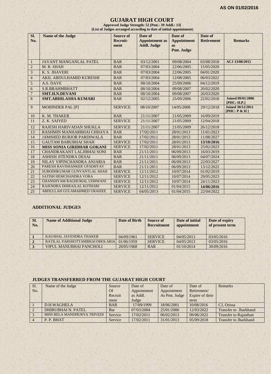#### **GUJARAT HIGH COURT**

**Approved Judge Strength: 52 [Pmt.: 39 Addl.: 13] (List of Judges arranged according to date of initial appointment)**

| SI.<br>No.              | <b>Name of the Judge</b>          | <b>Source of</b><br><b>Recruit-</b><br>ment | Date of<br><b>Appointment</b> as<br><b>Addl. Judge</b> | Date of<br><b>Appointment</b><br><b>as</b><br>Pmt. Judge | Date of<br><b>Retirement</b> | <b>Remarks</b>                           |
|-------------------------|-----------------------------------|---------------------------------------------|--------------------------------------------------------|----------------------------------------------------------|------------------------------|------------------------------------------|
| $\mathbf{1}$            | <b>JAYANT MANGANLAL PATEL</b>     | <b>BAR</b>                                  | 03/12/2001                                             | 09/08/2004                                               | 03/08/2018                   | ACJ 13/08/2015                           |
| $\overline{2}$          | M. R. SHAH                        | <b>BAR</b>                                  | 07/03/2004                                             | 22/06/2005                                               | 15/05/2020                   |                                          |
| $\overline{\mathbf{3}}$ | K. S. JHAVERI                     | <b>BAR</b>                                  | 07/03/2004                                             | 22/06/2005                                               | 04/01/2020                   |                                          |
| $\overline{4}$          | AKIL ABDULHAMID KURESHI           | <b>BAR</b>                                  | 07/03/2004                                             | 12/08/2005                                               | 06/03/2022                   |                                          |
| $\sqrt{5}$              | A.S. DAVE                         | <b>BAR</b>                                  | 08/10/2004                                             | 25/09/2006                                               | 04/12/2019                   |                                          |
| 6                       | <b>S.R.BRAHMBHATT</b>             | <b>BAR</b>                                  | 08/10/2004                                             | 09/08/2007                                               | 20/02/2020                   |                                          |
| $\overline{7}$          | <b>SMT.H.N.DEVANI</b>             | <b>BAR</b>                                  | 08/10/2004                                             | 09/08/2007                                               | 26/03/2020                   |                                          |
| 8                       | <b>SMT.ABHILASHA KUMARI</b>       | <b>BAR</b>                                  | 02/12/2005                                             | 25/09/2006                                               | 22/02/2018                   | <b>Joined 09/01/2006</b><br>[PHC: H.P.]  |
| 9                       | <b>MOHINDER PAL [P]</b>           | <b>SERVICE</b>                              | 08/10/2007                                             | 14/05/2008                                               | 29/12/2018                   | <b>Joined 30/12/2011</b><br>[PHC: P & H] |
| 10                      | K. M. THAKER                      | <b>BAR</b>                                  | 21/11/2007                                             | 21/05/2009                                               | 16/09/2019                   |                                          |
| 11                      | Z. K. SAIYED                      | <b>SERVICE</b>                              | 21/11/2007                                             | 21/05/2009                                               | 12/04/2018                   |                                          |
| 12                      | RAJESH HARIVADAN SHUKLA           | <b>SERVICE</b>                              | 21/11/2007                                             | 21/05/2009                                               | 26/12/2018                   |                                          |
| 13                      | RASHMIN MANHARBHAI CHHAYA         | <b>BAR</b>                                  | 17/02/2011                                             | 28/01/2013                                               | 11/01/2023                   |                                          |
| 14                      | <b>JAMSHED BURJOR PARDIWALA</b>   | <b>BAR</b>                                  | 17/02/2011                                             | 28/01/2013                                               | 11/08/2027                   |                                          |
| 15                      | <b>GAUTAM BABUBHAI SHAH</b>       | <b>SERVICE</b>                              | 17/02/2011                                             | 28/01/2013                                               | 13/10/2016                   |                                          |
| 16                      | <b>MISS SONIA GIRIDHAR GOKANI</b> | <b>SERVICE</b>                              | 17/02/2011                                             | 28/01/2013                                               | 25/02/2023                   |                                          |
| 17                      | <b>CHANDRAKANT LALJIBHAI SONI</b> | <b>BAR</b>                                  | 21/11/2011                                             | 06/09/2013                                               | 16/03/2019                   |                                          |
| 18                      | <b>ASHISH JITENDRA DESAI</b>      | <b>BAR</b>                                  | 21/11/2011                                             | 06/09/2013                                               | 04/07/2024                   |                                          |
| 19                      | NILAY VIPINCHANDRA ANJARIA        | <b>BAR</b>                                  | 21/11/2011                                             | 06/09/2013                                               | 22/03/2027                   |                                          |
| 20                      | PARESH RAVISHANKER UPADHYAY       | <b>BAR</b>                                  | 21/11/2011                                             | 06/09/2013                                               | 13/12/2022                   |                                          |
| 21                      | SUBODHKUMAR GUNVANTLAL SHAH       | <b>SERVICE</b>                              | 12/11/2012                                             | 10/07/2014                                               | 01/02/2019                   |                                          |
| 22                      | <b>SATISH HEMCHANDRA VORA</b>     | <b>SERVICE</b>                              | 12/11/2012                                             | 10/07/2014                                               | 29/05/2023                   |                                          |
| 23                      | <b>GHANSHYAM RAGHUMAL UDHWANI</b> | <b>SERVICE</b>                              | 12/11/2012                                             | 10/07/2014                                               | 24/11/2023                   |                                          |
| 24                      | RAJENDRA DHIRAJLAL KOTHARI        | <b>SERVICE</b>                              | 12/11/2012                                             | 01/04/2015                                               | 14/06/2016                   |                                          |
| 25                      | ABDULLAH GULAMAHMED URAIZEE       | <b>SERVICE</b>                              | 04/05/2013                                             | 01/04/2015                                               | 22/04/2022                   |                                          |

#### **ADDITIONAL JUDGES**

| SI.<br>No. | <b>Name of Additional Judge</b> | Date of Birth | Source of<br><b>Recruitment</b> | Date of initial<br>appointment | Date of expiry<br>of present term |
|------------|---------------------------------|---------------|---------------------------------|--------------------------------|-----------------------------------|
|            | KAUSHAL JAYENDRA THAKER         | 04/09/1961    | <b>SERVICE</b>                  | 04/05/2013                     | 03/05/2016                        |
|            | RATILAL PARSHOTTAMBHAI DHOLARIA | 01/06/1959    | <b>SERVICE</b>                  | 04/05/2013                     | 03/05/2016                        |
|            | VIPUL MANUBHAI PANCHOLI         | 28/05/1968    | <b>BAR</b>                      | 01/10/2014                     | 30/09/2016                        |

#### **JUDGES TRANSFERRED FROM THE GUJARAT HIGH COURT**

| Sl.            | Name of the Judge           | Source     | Date of     | Date of       | Date of         | <b>Remarks</b>               |
|----------------|-----------------------------|------------|-------------|---------------|-----------------|------------------------------|
| No.            |                             | <b>Of</b>  | Appointment | Appointment   | Retirement/     |                              |
|                |                             | Recruit    | as Addl.    | As Pmt. Judge | Expire of their |                              |
|                |                             | ment       | Judge       |               | term            |                              |
|                | D.H.WAGHELA                 | <b>BAR</b> | 17/09/1999  | 18/06/2001    | 10/08/2016      | CJ. Orissa                   |
| $\overline{2}$ | <b>DHIRUBHAI N. PATEL</b>   | Bar        | 07/03/2004  | 25/01/2006    | 12/03/2022      | Transfer to Jharkhand        |
| $\mathcal{E}$  | MISS BELA MANDHURYA TRIVEDI | Service    | 17/02/2011  | 06/02/2013    | 09/06/2022      | <b>Transfer to Rajasthan</b> |
|                | P. P. BHAT                  | Service    | 17/02/2011  | 31/01/2013    | 05/09/2018      | <b>Transfer to Jharkhand</b> |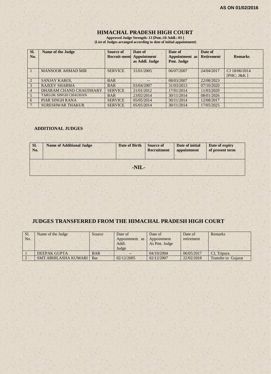## **HIMACHAL PRADESH HIGH COURT**

**Approved Judge Strength: 13 [Pmt.:10 Addl.: 03 ] (List of Judges arranged according to date of initial appointment)**

| Sl.<br>No.     | <b>Name of the Judge</b>    | Source of<br><b>Recruit-ment</b> | Date of<br><b>Appointment</b><br>as Addl. Judge | Date of<br>Appointment as<br>Pmt. Judge | Date of<br><b>Retirement</b> | <b>Remarks</b> |
|----------------|-----------------------------|----------------------------------|-------------------------------------------------|-----------------------------------------|------------------------------|----------------|
|                | <b>MANSOOR AHMAD MIR</b>    | <b>SERVICE</b>                   | 31/01/2005                                      | 06/07/2007                              | 24/04/2017                   | CJ 18/06/2014  |
|                |                             |                                  |                                                 |                                         |                              | [ $PHC: J&K$ ] |
| $\sqrt{2}$     | <b>SANJAY KAROL</b>         | <b>BAR</b>                       | $- -$                                           | 08/03/2007                              | 22/08/2023                   |                |
|                | <b>RAJEEV SHARMA</b>        | <b>BAR</b>                       | 03/04/2007                                      | 31/03/2013                              | 07/10/2020                   |                |
| $\overline{4}$ | DHARAM CHAND CHAUDHARY      | <b>SERVICE</b>                   | 21/01/2012                                      | 17/01/2014                              | 11/03/2020                   |                |
|                | <b>TARLOK SINGH CHAUHAN</b> | <b>BAR</b>                       | 23/02/2014                                      | 30/11/2014                              | 08/01/2026                   |                |
| 6              | <b>PIAR SINGH RANA</b>      | <b>SERVICE</b>                   | 05/05/2014                                      | 30/11/2014                              | 12/08/2017                   |                |
|                | <b>SURESHWAR THAKUR</b>     | <b>SERVICE</b>                   | 05/05/2014                                      | 30/11/2014                              | 17/05/2025                   |                |

#### **ADDITIONAL JUDGES**

| SI.<br>No. | <b>Name of Additional Judge</b> | <b>Date of Birth</b> | Source of<br><b>Recruitment</b> | Date of initial<br>appointment | Date of expiry<br>of present term |
|------------|---------------------------------|----------------------|---------------------------------|--------------------------------|-----------------------------------|
|            |                                 | -NIL-                |                                 |                                |                                   |

### **JUDGES TRANSFERRED FROM THE HIMACHAL PRADESH HIGH COURT**

| Sl.<br>No. | Name of the Judge   | Source     | Date of<br>Appointment as<br>Addl.<br>Judge | Date of<br>Appointment<br>As Pmt. Judge | Date of<br>retirement | <b>Remarks</b> |
|------------|---------------------|------------|---------------------------------------------|-----------------------------------------|-----------------------|----------------|
|            |                     |            |                                             |                                         |                       |                |
|            | <b>DEEPAK GUPTA</b> | <b>BAR</b> |                                             | 04/10/2004                              | 06/05/2017            | CJ. Tripura    |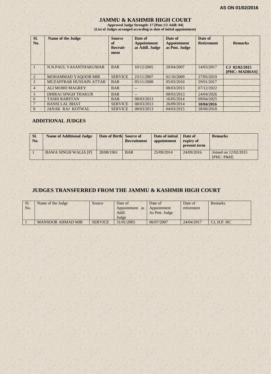#### **JAMMU & KASHMIR HIGH COURT**

**Approved Judge Strength: 17 [Pmt.:13 Addl: 04] (List of Judges arranged according to date of initial appointment)**

| Sl.<br>No.     | <b>Name of the Judge</b>       | <b>Source</b><br>of<br>Recruit-<br>ment | Date of<br><b>Appointment</b><br>as Addl. Judge | Date of<br><b>Appointment</b><br>as Pmt. Judge | Date of<br><b>Retirement</b> | <b>Remarks</b>                                     |
|----------------|--------------------------------|-----------------------------------------|-------------------------------------------------|------------------------------------------------|------------------------------|----------------------------------------------------|
| $\blacksquare$ | N.N.PAUL VASANTHAKUMAR         | <b>BAR</b>                              | 10/12/2005                                      | 20/04/2007                                     | 14/03/2017                   | 02/02/2015<br>$C_{\rm{J}}$<br><b>[PHC: MADRAS]</b> |
| $\overline{2}$ | MOHAMMAD YAQOOB MIR            | <b>SERVICE</b>                          | 23/11/2007                                      | 01/10/2009                                     | 27/05/2019                   |                                                    |
| 3              | <b>MUZAFFRAR HUSSAIN ATTAR</b> | <b>BAR</b>                              | 05/11/2008                                      | 05/03/2010                                     | 29/01/2017                   |                                                    |
| $\overline{4}$ | <b>ALI MOHD MAGREY</b>         | <b>BAR</b>                              |                                                 | 08/03/2013                                     | 07/12/2022                   |                                                    |
| 5              | <b>DHIRAJ SINGH THAKUR</b>     | <b>BAR</b>                              | $-$                                             | 08/03/2013                                     | 24/04/2026                   |                                                    |
| 6              | <b>TASHI RABSTAN</b>           | <b>BAR</b>                              | 08/03/2013                                      | 16/05/2014                                     | 09/04/2025                   |                                                    |
| 7              | <b>BANSI LAL BHAT</b>          | <b>SERVICE</b>                          | 08/03/2013                                      | 26/09/2014                                     | 18/04/2016                   |                                                    |
| 8              | <b>JANAK RAJ KOTWAL</b>        | <b>SERVICE</b>                          | 08/03/2013                                      | 04/03/2015                                     | 28/08/2018                   |                                                    |

#### **ADDITIONAL JUDGES**

| SI.<br>No. | <b>Name of Additional Judge</b> | Date of Birth Source of | Recruitment | Date of initial<br>appointment | Date of<br>expiry of<br>present term | <b>Remarks</b>                     |
|------------|---------------------------------|-------------------------|-------------|--------------------------------|--------------------------------------|------------------------------------|
|            | <b>BAWA SINGH WALIA [P]</b>     | 28/08/1961              | <b>BAR</b>  | 25/09/2014                     | 24/09/2016                           | Joined on 12/02/2015<br>[PHC: P&H] |

#### **JUDGES TRANSFERRED FROM THE JAMMU & KASHMIR HIGH COURT**

| Sl.<br>No. | Name of the Judge        | Source         | Date of<br>Appointment as<br>Addl.<br>Judge | Date of<br>Appointment<br>As Pmt. Judge | Date of<br>retirement | Remarks     |
|------------|--------------------------|----------------|---------------------------------------------|-----------------------------------------|-----------------------|-------------|
|            | <b>MANSOOR AHMAD MIR</b> | <b>SERVICE</b> | 31/01/2005                                  | 06/07/2007                              | 24/04/2017            | CJ, H.P. HC |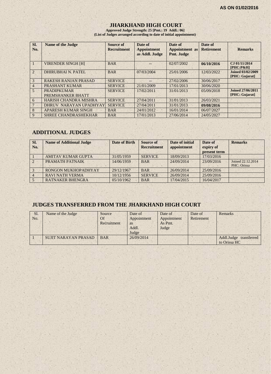## **JHARKHAND HIGH COURT**

**Approved Judge Strength: 25 [Pmt.: 19 Addl.: 06] (List of Judges arranged according to date of initial appointment)**

| SI.<br>No.                  | <b>Name of the Judge</b>                | Source of<br><b>Recruitment</b> | Date of<br><b>Appointment</b><br>as Addl. Judge | Date of<br><b>Appointment</b> as<br>Pmt. Judge | Date of<br><b>Retirement</b> | <b>Remarks</b>                             |
|-----------------------------|-----------------------------------------|---------------------------------|-------------------------------------------------|------------------------------------------------|------------------------------|--------------------------------------------|
| -1                          | <b>VIRENDER SINGH [H]</b>               | <b>BAR</b>                      |                                                 | 02/07/2002                                     | 06/10/2016                   | CJ 01/11/2014<br>$[PHC: P\&H]$             |
| $\mathcal{D}_{\mathcal{L}}$ | DHIRUBHAI N. PATEL                      | <b>BAR</b>                      | 07/03/2004                                      | 25/01/2006                                     | 12/03/2022                   | <b>Joined 03/02/2009</b><br>[PHC: Gujarat] |
| $\mathcal{E}$               | <b>RAKESH RANJAN PRASAD</b>             | <b>SERVICE</b>                  |                                                 | 27/02/2006                                     | 30/06/2017                   |                                            |
| $\overline{4}$              | PRASHANT KUMAR                          | <b>SERVICE</b>                  | 21/01/2009                                      | 17/01/2013                                     | 30/06/2020                   |                                            |
| 5 <sub>5</sub>              | <b>PRADIPKUMAR</b><br>PREMSHANKER BHATT | <b>SERVICE</b>                  | 17/02/2011                                      | 31/01/2013                                     | 05/09/2018                   | Joined 27/06/2011<br>[PHC: Gujarat]        |
| 6                           | <b>HARISH CHANDRA MISHRA</b>            | <b>SERVICE</b>                  | 27/04/2011                                      | 31/01/2013                                     | 26/03/2021                   |                                            |
|                             | DHRUV NARAYAN UPADHYAY                  | <b>SERVICE</b>                  | 27/04/2011                                      | 31/01/2013                                     | 09/08/2016                   |                                            |
| 8                           | <b>APARESH KUMAR SINGH</b>              | <b>BAR</b>                      | 24/01/2012                                      | 16/01/2014                                     | 06/07/2027                   |                                            |
| 9                           | <b>SHREE CHANDRASHEKHAR</b>             | <b>BAR</b>                      | 17/01/2013                                      | 27/06/2014                                     | 24/05/2027                   |                                            |

## **ADDITIONAL JUDGES**

| SI.<br>No.     | <b>Name of Additional Judge</b> | <b>Date of Birth</b> | Source of<br><b>Recruitment</b> | Date of initial<br>appointment | Date of<br>expiry of<br>present term | <b>Remarks</b>                   |
|----------------|---------------------------------|----------------------|---------------------------------|--------------------------------|--------------------------------------|----------------------------------|
|                | <b>AMITAV KUMAR GUPTA</b>       | 31/05/1959           | <b>SERVICE</b>                  | 18/09/2013                     | 17/03/2016                           |                                  |
| $\overline{2}$ | PRAMATH PATNAIK                 | 14/06/1959           | <b>BAR</b>                      | 24/09/2014                     | 23/09/2016                           | Joined 22.12.2014<br>PHC: Orissa |
|                | RONGON MUKHOPADHYAY             | 29/12/1967           | <b>BAR</b>                      | 26/09/2014                     | 25/09/2016                           |                                  |
|                | <b>RAVI NATH VERMA</b>          | 10/12/1956           | <b>SERVICE</b>                  | 26/09/2014                     | 25/09/2016                           |                                  |
|                | <b>RATNAKER BHENGRA</b>         | 05/10/1962           | <b>BAR</b>                      | 17/04/2015                     | 16/04/2017                           |                                  |

## **JUDGES TRANSFERRED FROM THE JHARKHAND HIGH COURT**

| Sl. | Name of the Judge           | Source      | Date of     | Date of     | Date of    | Remarks                |
|-----|-----------------------------|-------------|-------------|-------------|------------|------------------------|
| No. |                             | Of          | Appointment | Appointment | Retirement |                        |
|     |                             | Recruitment | as          | As Pmt.     |            |                        |
|     |                             |             | Addl.       | Judge       |            |                        |
|     |                             |             | Judge       |             |            |                        |
|     | <b>SUJIT NARAYAN PRASAD</b> | <b>BAR</b>  | 26/09/2014  |             |            | Addl.Judge transferred |
|     |                             |             |             |             |            | to Orissa HC           |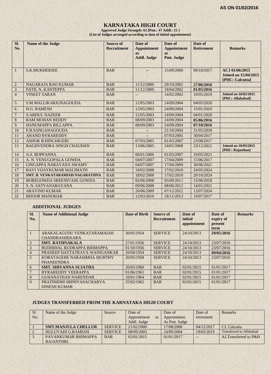## **KARNATAKA HIGH COURT**

**Approved Judge Strength: 62 [Pmt.: 47 Addl.: 15 ] (List of Judges arranged according to date of initial appointment)**

| SI.<br>N <sub>0</sub> | <b>Name of the Judge</b>                | <b>Source of</b><br><b>Recruitment</b> | Date of<br><b>Appointment</b><br><b>as</b><br><b>Addl. Judge</b> | Date of<br><b>Appointment</b><br><b>as</b><br>Pmt. Judge | Date of<br><b>Retirement</b> | <b>Remarks</b>                                                   |
|-----------------------|-----------------------------------------|----------------------------------------|------------------------------------------------------------------|----------------------------------------------------------|------------------------------|------------------------------------------------------------------|
| $\mathbf{1}$          | <b>S.K.MUKHERJEE</b>                    | <b>BAR</b>                             |                                                                  | 15/09/2000                                               | 09/10/2017                   | ACJ 01/06/2015<br><b>Joined on 15/04/2015</b><br>[PHC: Calcutta] |
| $\overline{2}$        | <b>NAGARAJA RAO KUMAR</b>               | <b>BAR</b>                             | 11/12/2000                                                       | 29/10/2001                                               | 27/06/2016                   |                                                                  |
| $\overline{3}$        | PATIL N. KANTEPPA                       | <b>BAR</b>                             | 11/12/2000                                                       | 18/04/2002                                               | 01/05/2016                   |                                                                  |
| $\overline{4}$        | <b>VINEET SARAN</b>                     | <b>BAR</b>                             | --                                                               | 14/02/2002                                               | 10/05/2019                   | <b>Joined on 16/02/2015</b><br>[PHC: Allahabad]                  |
| 5                     | S.M.MALLIKARJUNAGOUDA                   | <b>BAR</b>                             | 12/05/2003                                                       | 24/09/2004                                               | 04/05/2020                   |                                                                  |
| 6                     | H.G. RAMESH                             | <b>BAR</b>                             | 12/05/2003                                                       | 24/09/2004                                               | 15/01/2019                   |                                                                  |
| $7\phantom{.0}$       | <b>S.ABDUL NAZEER</b>                   | <b>BAR</b>                             | 12/05/2003                                                       | 24/09/2004                                               | 04/01/2020                   |                                                                  |
| $\,8$                 | <b>RAM MOHAN REDDY</b>                  | <b>BAR</b>                             | 08/09/2003                                                       | 24/09/2004                                               | 05/06/2016                   |                                                                  |
| 9                     | <b>HANUMAPPA BILLAPPA</b>               | <b>BAR</b>                             | 08/09/2003                                                       | 24/09/2004                                               | 07/10/2016                   |                                                                  |
| 10                    | P.B.SANGANAGOUDA                        | <b>BAR</b>                             |                                                                  | 21/10/2004                                               | 31/05/2018                   |                                                                  |
| 11                    | <b>ANAND BYRAREDDY</b>                  | <b>BAR</b>                             |                                                                  | 07/03/2005                                               | 30/04/2017                   |                                                                  |
| 12                    | <b>ASHOK B.HINCHIGERI</b>               | <b>BAR</b>                             | 07/03/2005                                                       | 01/03/2007                                               | 23/08/2017                   |                                                                  |
| 13                    | RAGHVENDRA SINGH CHAUHAN                | <b>BAR</b>                             | 13/06/2005                                                       | 24/01/2008                                               | 23/12/2021                   | <b>Joined on 10/03/2015</b><br>[PHC: Rajasthan]                  |
| 14                    | A.S. BOPPANNA                           | <b>BAR</b>                             | 06/01/2006                                                       | 01/03/2007                                               | 19/05/2021                   |                                                                  |
| 15                    | A. N. VENUGOPALA GOWDA                  | <b>BAR</b>                             | 04/07/2007                                                       | 17/04/2009                                               | 15/06/2017                   |                                                                  |
| 16                    | LINGAPPA NARAYANA SWAMY                 | <b>BAR</b>                             | 04/07/2007                                                       | 17/04/2009                                               | 30/06/2021                   |                                                                  |
| 17                    | <b>RAVI VIJAYKUMAR MALIMATH</b>         | <b>BAR</b>                             | 18/02/2008                                                       | 17/02/2010                                               | 24/05/2024                   |                                                                  |
| 18                    | <b>SMT. B. VENKATARAMIAH NAGARATHNA</b> | <b>BAR</b>                             | 18/02/2008                                                       | 17/02/2010                                               | 29/10/2024                   |                                                                  |
| 19                    | <b>BOREGOWDA SREENIVASE GOWDA</b>       | <b>BAR</b>                             | 02/06/2008                                                       | 05/09/2011                                               | 15/06/2018                   |                                                                  |
| 20                    | S. N. SATYANARAYANA                     | <b>BAR</b>                             | 09/06/2008                                                       | 08/06/2012                                               | 14/01/2021                   |                                                                  |
| 21                    | <b>ARAVIND KUMAR</b>                    | <b>BAR</b>                             | 26/06/2009                                                       | 07/12/2012                                               | 13/07/2024                   |                                                                  |
| 22                    | <b>BIJOOR MANOHAR</b>                   | <b>BAR</b>                             | 12/03/2010                                                       | 18/11/2013                                               | 19/07/2017                   |                                                                  |

#### **ADDITIONAL JUDGES**

| SI.<br>No.     | <b>Name of Additional Judge</b>                     | <b>Date of Birth</b> | Source of<br><b>Recruitment</b> | Date of<br>initial<br>appointment | Date of<br>expiry of<br>present<br>term | <b>Remarks</b> |
|----------------|-----------------------------------------------------|----------------------|---------------------------------|-----------------------------------|-----------------------------------------|----------------|
|                | ARAKALAGUDU VENKATARAMAIAH<br><b>CHANDRASHEKARA</b> | 30/05/1954           | <b>SERVICE</b>                  | 24/10/2013                        | 29/05/2016                              |                |
| $\overline{2}$ | <b>SMT. RATHNAKALA</b>                              | 27/01/1956           | <b>SERVICE</b>                  | 24/10/2013                        | 23/07/2016                              |                |
| 3              | <b>BUDHIHAL RUDRAPPA BHIMAPPA</b>                   | 01/10/1956           | <b>SERVICE</b>                  | 24/10/2013                        | 23/07/2016                              |                |
| $\overline{4}$ | PRADEEP DATTATRAYA WAINGANKAR                       | 10/04/1954           | <b>SERVICE</b>                  | 24/10/2013                        | 09/04/2016                              |                |
| $\overline{5}$ | KORATAGERE NARASIMHA MURTHY<br><b>PHANEENDRA</b>    | 20/05/1958           | <b>SERVICE</b>                  | 24/10/2013                        | 23/07/2016                              |                |
| 6              | <b>SMT. SHIVANNA SUJATHA</b>                        | 20/05/1960           | <b>BAR</b>                      | 02/01/2015                        | 01/01/2017                              |                |
| 7              | <b>BYRAREDDY VEERAPPA</b>                           | 01/06/1961           | <b>BAR</b>                      | 02/01/2015                        | 01/01/2017                              |                |
| 8              | <b>GUHANATHAN NARENDAR</b>                          | 10/01/1964           | <b>BAR</b>                      | 02/01/2015                        | 01/01/2017                              |                |
| 9              | PRATINIDHI SRINIVASACHARYA<br><b>DINESH KUMAR</b>   | 25/02/1962           | <b>BAR</b>                      | 02/01/2015                        | 01/01/2017                              |                |

#### **JUDGES TRANSFERRED FROM THE KARNATAKA HIGH COURT**

| Sl.<br>No. | Name of the Judge          | Source         | Date of<br>Appointment<br>as | Date of<br>Appointment | Date of<br>retirement | Remarks                         |
|------------|----------------------------|----------------|------------------------------|------------------------|-----------------------|---------------------------------|
|            |                            |                | Addl. Judge                  | As Pmt. Judge          |                       |                                 |
|            | <b>SMT.MANJULA CHELLUR</b> | <b>SERVICE</b> | 21/02/2000                   | 17/08/2000             | 04/12/2017            | CJ. Calcutta                    |
|            | <b>HULUVADI G.RAMESH</b>   | <b>SERVICE</b> | 08/09/2003                   | 24/09/2004             | 19/05/2019            | <b>Transferred to Allahabad</b> |
|            | PAVANKUMAR BHIMAPPA        | <b>BAR</b>     | 02/01/2015                   | 01/01/2017             |                       | AJ. Transferred to P&H          |
|            | <b>BAJANTHRI</b>           |                |                              |                        |                       |                                 |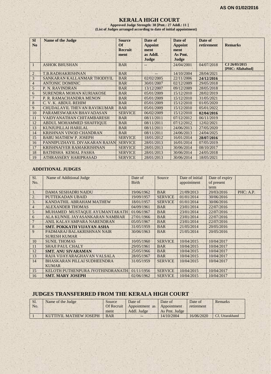#### **KERALA HIGH COURT**

**Approved Judge Strength: 38 [Pmt.: 27 Addl.: 11 ] (List of Judges arranged according to date of initial appointment)**

| <b>SI</b><br>N <sub>o</sub> | <b>Name of the Judge</b>           | <b>Source</b><br><b>Of</b><br><b>Recruit</b><br>ment | Date of<br><b>Appoint</b><br>ment<br>as Addl.<br>Judge | Date of<br><b>Appoint</b><br>ment<br>As Pmt.<br>Judge | Date of<br>retirement | <b>Remarks</b>                    |
|-----------------------------|------------------------------------|------------------------------------------------------|--------------------------------------------------------|-------------------------------------------------------|-----------------------|-----------------------------------|
| 1                           | <b>ASHOK BHUSHAN</b>               | <b>BAR</b>                                           |                                                        | 24/04/2001                                            | 04/07/2018            | CJ 26/03/2015<br>[PHC: Allahabad] |
| $\overline{2}$              | T.B.RADHAKRISHNAN                  | <b>BAR</b>                                           |                                                        | 14/10/2004                                            | 28/04/2021            |                                   |
| 3                           | SANKARAN KALLANMAR THODIYIL        | <b>BAR</b>                                           | 02/02/2005                                             | 22/11/2006                                            | 24/12/2016            |                                   |
| 4                           | <b>ANTONIC DOMINIC</b>             | <b>BAR</b>                                           | 30/01/2007                                             | 02/12/2009                                            | 29/05/2018            |                                   |
| 5                           | P. N. RAVINDRAN                    | <b>BAR</b>                                           | 13/12/2007                                             | 09/12/2009                                            | 28/05/2018            |                                   |
| 6                           | SURENDRA MOHAN KURIAKOSE           | <b>BAR</b>                                           | 05/01/2009                                             | 15/12/2010                                            | 28/02/2019            |                                   |
| $\overline{7}$              | P. R. RAMACHANDRA MENON            | <b>BAR</b>                                           | 05/01/2009                                             | 15/12/2010                                            | 31/05/2021            |                                   |
| 8                           | C. V. K. ABDUL REHIM               | <b>BAR</b>                                           | 05/01/2009                                             | 15/12/2010                                            | 01/05/2020            |                                   |
| 9                           | <b>CHUDALAYIL THEVAN RAVIKUMAR</b> | <b>BAR</b>                                           | 05/01/2009                                             | 15/12/2010                                            | 05/01/2022            |                                   |
| 10                          | PARAMESWARAN BHAVADASAN            | <b>SERVICE</b>                                       | 06/02/2009                                             | 15/12/2010                                            | 02/04/2016            |                                   |
| 11                          | <b>VAIDYANATHAN CHITAMBARESH</b>   | <b>BAR</b>                                           | 08/11/2011                                             | 07/12/2012                                            | 06/11/2019            |                                   |
| 12                          | ABDUL MOHAMMED SHAFFIOUE           | <b>BAR</b>                                           | 08/11/2011                                             | 07/12/2012                                            | 12/02/2021            |                                   |
| 13                          | KUNJUPILLAI HARILAL                | <b>BAR</b>                                           | 08/11/2011                                             | 24/06/2013                                            | 27/05/2020            |                                   |
| 14                          | KRISHNAN VINOD CHANDRAN            | <b>BAR</b>                                           | 08/11/2011                                             | 24/06/2013                                            | 24/04/2025            |                                   |
| 15                          | <b>BABU MATHEW P. JOSEPH</b>       | <b>SERVICE</b>                                       | 18/01/2012                                             | 16/01/2014                                            | 28/07/2016            |                                   |
| 16                          | PANNIPUZHAYIL DIVAKARAN RAJAN      | <b>SERVICE</b>                                       | 28/01/2013                                             | 16/01/2014                                            | 07/05/2019            |                                   |
| 17                          | <b>KRISHNAIYER RAMAKRISHNAN</b>    | <b>SERVICE</b>                                       | 28/01/2013                                             | 30/06/2014                                            | 08/10/2017            |                                   |
| 18                          | <b>BATHISHA KEMAL PASHA</b>        | <b>SERVICE</b>                                       | 28/01/2013                                             | 30/06/2014                                            | 24/05/2018            |                                   |
| 19                          | ATHRASSERY HARIPRASAD              | <b>SERVICE</b>                                       | 28/01/2013                                             | 30/06/2014                                            | 18/05/2021            |                                   |

#### **ADDITIONAL JUDGES**

| SI.            | Name of Additional Judge           | Date of      | Source         | Date of initial | Date of expiry |           |
|----------------|------------------------------------|--------------|----------------|-----------------|----------------|-----------|
| No.            |                                    | <b>Birth</b> |                | appointment     | of present     |           |
|                |                                    |              |                |                 | term           |           |
| 1.             | <b>DAMA SESHADRI NAIDU</b>         | 19/06/1962   | <b>BAR</b>     | 21/09/2013      | 20/03/2016     | PHC: A.P. |
| 2.             | <b>PUTTEKADAN UBAID</b>            | 19/09/1957   | <b>SERVICE</b> | 01/01/2014      | 30/06/2016     |           |
| 3.             | KANDATHIL ABRAHAM MATHEW           | 18/01/1957   | <b>SERVICE</b> | 01/01/2014      | 30/06/2016     |           |
| $\overline{4}$ | <b>ALEXANDER THOMAS</b>            | 04/09/1961   | <b>BAR</b>     | 23/01/2014      | 22/07/2016     |           |
| 5              | MUHAMED MUSTAQUE AYUMANTAKATH      | 01/06/1967   | <b>BAR</b>     | 23/01/2014      | 22/07/2016     |           |
| 6              | ALA KUNNIL JAYASANKARAN NAMBIAR    | 27/01/1966   | <b>BAR</b>     | 23/01/2014      | 22/07/2016     |           |
|                | ANIL KALAVAMPARA NARENDRAN         | 05/05/1967   | <b>BAR</b>     | 23/01/2014      | 22/07/2016     |           |
| 8              | <b>SMT. POKKATH VIJAYAN ASHA</b>   | 31/05/1959   | <b>BAR</b>     | 21/05/2014      | 20/05/2016     |           |
| 9              | PADMARAJ BALAKRISHNAN NAIR         | 30/06/1963   | <b>BAR</b>     | 21/05/2014      | 20/05/2016     |           |
|                | <b>SURESH KUMAR</b>                |              |                |                 |                |           |
| 10             | <b>SUNIL THOMAS</b>                | 10/05/1960   | <b>SERVICE</b> | 10/04/2015      | 10/04/2017     |           |
| 11             | <b>SHAJI PAUL CHALY</b>            | 29/05/1961   | <b>BAR</b>     | 10/04/2015      | 10/04/2017     |           |
| 12             | <b>SMT. ANU SIVARAMAN</b>          | 25/05/1966   | <b>BAR</b>     | 10/04/2015      | 10/04/2017     |           |
| 13             | RAJA VIJAYARAGHAVAN VALSALA        | 28/05/1967   | <b>BAR</b>     | 10/04/2015      | 10/04/2017     |           |
| 14             | <b>BHASKARAN PILLAI SUDHEENDRA</b> | 31/05/1959   | <b>SERVICE</b> | 10/04/2015      | 10/04/2017     |           |
|                | <b>KUMAR</b>                       |              |                |                 |                |           |
| 15             | KELOTH PUTHENPURA JYOTHINDRANATH   | 01/11/1956   | <b>SERVICE</b> | 10/04/2015      | 10/04/2017     |           |
| 16             | <b>SMT. MARY JOSEPH</b>            | 02/06/1962   | <b>SERVICE</b> | 10/04/2015      | 10/04/2017     |           |

## **JUDGES TRANSFERRED FROM THE KERALA HIGH COURT**

| Sl. | Name of the Judge      | Source     | Date of                    | Date of       | Date of    | Remarks         |
|-----|------------------------|------------|----------------------------|---------------|------------|-----------------|
| No. |                        | Of Recruit | Appointment as Appointment |               | retirement |                 |
|     |                        | ment       | Addl. Judge                | As Pmt. Judge |            |                 |
|     | KUTTIYIL MATHEW JOSEPH | <b>BAR</b> | $- -$                      | 14/10/2004    | 16/06/2020 | CJ. Uttarakhand |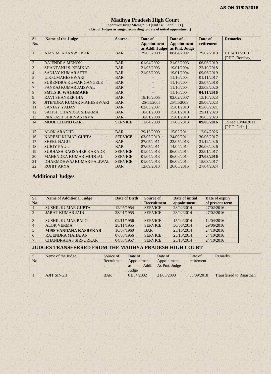#### **Madhya Pradesh High Court**

Approved Judge Strength: 53 [Pmt.: 40 Addl.: 13 ] **(List of Judges arranged according to date of initial appointment)**

| Sl.            | <b>Name of the Judge</b>         | <b>Source</b>  | Date of            | Date of            | Date of    | <b>Remarks</b>    |
|----------------|----------------------------------|----------------|--------------------|--------------------|------------|-------------------|
| No.            |                                  |                | <b>Appointment</b> | <b>Appointment</b> | retirement |                   |
|                |                                  |                | as Addl. Judge     | as Pmt. Judge      |            |                   |
| T              | <b>AJAY M. KHANWILKAR</b>        | <b>BAR</b>     | 29/03/2000         | 08/04/2002         | 29/07/2019 | CJ 24/11/2013     |
|                |                                  |                |                    |                    |            | [PHC: Bombay]     |
| $\overline{2}$ | <b>RAJENDRA MENON</b>            | <b>BAR</b>     | 01/04/2002         | 21/03/2003         | 06/06/2019 |                   |
| 3              | <b>SHANTANU S. KEMKAR</b>        | <b>BAR</b>     | 21/03/2003         | 19/01/2004         | 22/10/2018 |                   |
| 4              | <b>SANJAY KUMAR SETH</b>         | <b>BAR</b>     | 21/03/2003         | 19/01/2004         | 09/06/2019 |                   |
| $\overline{5}$ | <b>U.K.G.MAHESHWARI</b>          | <b>BAR</b>     |                    | 11/10/2004         | 01/11/2017 |                   |
| 6              | <b>SURENDRA KUMAR GANGELE</b>    | <b>BAR</b>     |                    | 11/10/2004         | 25/07/2018 |                   |
| $\overline{7}$ | PANKAJ KUMAR JAISWAL             | <b>BAR</b>     | $- -$              | 11/10/2004         | 23/09/2020 |                   |
| 8              | <b>SMT.S.R. WAGHMARE</b>         | <b>BAR</b>     | $-$                | 11/10/2004         | 04/11/2016 |                   |
| 9              | <b>RAVI SHANKER JHA</b>          | <b>BAR</b>     | 18/10/2005         | 02/02/2007         | 13/10/2023 |                   |
| 10             | <b>JITENDRA KUMAR MAHESHWARI</b> | <b>BAR</b>     | 25/11/2005         | 25/11/2008         | 28/06/2023 |                   |
| 11             | <b>SANJAY YADAV</b>              | <b>BAR</b>     | 02/03/2007         | 15/01/2010         | 05/06/2021 |                   |
| 12             | SATISH CHANDRA SHARMA            | <b>BAR</b>     | 18/01/2008         | 15/01/2010         | 29/11/2023 |                   |
| 13             | PRAKASH SHRIVASTAVA              | <b>BAR</b>     | 18/01/2008         | 15/01/2010         | 30/03/2023 |                   |
| 14             | <b>MOOL CHAND GARG</b>           | <b>SERVICE</b> | 11/04/2008         | 17/06/2013         | 09/06/2016 | Joined 18/04/2011 |
|                |                                  |                |                    |                    |            | [PHC: Delhi]      |
| 15             | <b>ALOK ARADHE</b>               | <b>BAR</b>     | 29/12/2009         | 15/02/2011         | 12/04/2026 |                   |
| 16             | <b>NARESH KUMAR GUPTA</b>        | <b>SERVICE</b> | 03/05/2010         | 24/09/2011         | 30/06/2017 |                   |
| 17             | <b>SHEEL NAGU</b>                | <b>BAR</b>     | 27/05/2011         | 23/05/2013         | 31/12/2026 |                   |
| 18             | <b>SUJOY PAUL</b>                | <b>BAR</b>     | 27/05/2011         | 14/04/2014         | 20/06/2026 |                   |
| 19             | <b>SUBHASH RAOSAHEB KAKADE</b>   | <b>SERVICE</b> | 01/04/2013         | 06/09/2014         | 22/01/2017 |                   |
| 20             | <b>MAHENDRA KUMAR MUDGAL</b>     | <b>SERVICE</b> | 01/04/2013         | 06/09/2014         | 27/08/2016 |                   |
| 21             | DHARMDHWAJ KUMAR PALIWAL         | <b>SERVICE</b> | 01/04/2013         | 06/09/2014         | 15/03/2017 |                   |
| 22             | <b>ROHIT ARYA</b>                | <b>BAR</b>     | 12/09/2013         | 26/03/2015         | 27/04/2024 |                   |

## **Additional Judges**

| Sl.<br>No.     | <b>Name of Additional Judge</b> | Date of Birth | <b>Source of</b><br><b>Recruitment</b> | Date of initial<br>appointment | Date of expiry<br>of present term |
|----------------|---------------------------------|---------------|----------------------------------------|--------------------------------|-----------------------------------|
|                | <b>SUSHIL KUMAR GUPTA</b>       | 12/05/1954    | <b>SERVICE</b>                         | 28/02/2014                     | 27/02/2016                        |
| $\mathcal{D}$  | <b>JARAT KUMAR JAIN</b>         | 23/01/1955    | <b>SERVICE</b>                         | 28/02/2014                     | 27/02/2016                        |
| $\mathcal{R}$  | SUSHIL KUMAR PALO               | 02/11/1956    | <b>SERVICE</b>                         | 15/04/2014                     | 14/04/2016                        |
| $\overline{4}$ | <b>ALOK VERMA</b>               | 28/11/1955    | <b>SERVICE</b>                         | 30/06/2014                     | 29/06/2016                        |
|                | <b>MISS VANDANA KASREKAR</b>    | 10/07/1960    | <b>BAR</b>                             | 25/10/2014                     | 24/10/2016                        |
| 6              | <b>RAJENDRA MAHAJAN</b>         | 07/03/1956    | <b>SERVICE</b>                         | 25/10/2014                     | 24/10/2016                        |
| $\overline{7}$ | <b>CHANDRAHAS SIRPURKAR</b>     | 04/03/1957    | <b>SERVICE</b>                         | 25/10/2014                     | 24/10/2016                        |

#### **JUDGES TRANSFERRED FROM THE MADHYA PRADESH HIGH COURT**

| Sl.<br>No. | Name of the Judge | Source of<br>Recruitmen | Date of<br>Appointment<br>Addl.<br>as<br>Judge | Date of<br>Appointment<br>As Pmt. Judge | Date of<br>retirement | Remarks                         |
|------------|-------------------|-------------------------|------------------------------------------------|-----------------------------------------|-----------------------|---------------------------------|
|            | <b>AJIT SINGH</b> | <b>BAR</b>              | 01/04/2002                                     | 21/03/2003                              | 05/09/2018            | <b>Transferred to Rajasthan</b> |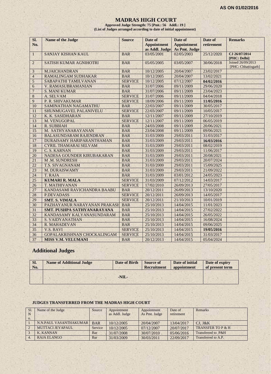#### **MADRAS HIGH COURT**

**Approved Judge Strength: 75 [Pmt.: 56 Addl.: 19 ] (List of Judges arranged according to date of initial appointment)**

| SI.             | <b>Name of the Judge</b>      | <b>Source</b>  | Date of                              | Date of                             | Date of    | <b>Remarks</b>                           |
|-----------------|-------------------------------|----------------|--------------------------------------|-------------------------------------|------------|------------------------------------------|
| No.             |                               |                | <b>Appointment</b><br>as Addl. Judge | <b>Appointment</b><br>As Pmt. Judge | retirement |                                          |
| $\mathbf{1}$    | <b>SANJAY KISHAN KAUL</b>     | <b>BAR</b>     | 03/05/2001                           | 02/05/2003                          | 25/12/2020 | CJ 26/07/2014<br>[PHC: Delhi]            |
| $\overline{2}$  | <b>SATISH KUMAR AGNIHOTRI</b> | <b>BAR</b>     | 05/05/2005                           | 03/05/2007                          | 30/06/2018 | Joined 26/09/2013<br>[PHC: Chhattisgarh] |
| 3               | <b>M.JAICHANDRAN</b>          | <b>BAR</b>     | 10/12/2005                           | 20/04/2007                          | 23/02/2017 |                                          |
| $\overline{4}$  | <b>RAMALINGAM SUDHAKAR</b>    | <b>BAR</b>     | 10/12/2005                           | 20/04/2007                          | 13/02/2021 |                                          |
| 5               | SABAPATHI TAMILVANAN          | <b>SERVICE</b> | 10/12/2005                           | 07/12/2007                          | 04/02/2016 |                                          |
| 6               | V. RAMASUBRAMANIAN            | <b>BAR</b>     | 31/07/2006                           | 09/11/2009                          | 29/06/2020 |                                          |
| $\overline{7}$  | <b>S. MANI KUMAR</b>          | <b>BAR</b>     | 31/07/2006                           | 09/11/2009                          | 23/04/2023 |                                          |
| 8               | A. SELVAM                     | <b>SERVICE</b> | 31/07/2006                           | 09/11/2009                          | 04/04/2018 |                                          |
| 9               | P. R. SHIVAKUMAR              | <b>SERVICE</b> | 18/09/2006                           | 09/11/2009                          | 11/05/2016 |                                          |
| 10              | SAMINATHAN NAGAMATHU          | <b>BAR</b>     | 22/03/2007                           | 09/11/2009                          | 30/05/2017 |                                          |
| 11              | SHUNMUGAVEL PALANIVELU        | <b>SERVICE</b> | 22/03/2007                           | 09/11/2009                          | 10/05/2017 |                                          |
| 12              | K. K. SASIDHARAN              | <b>BAR</b>     | 12/11/2007                           | 09/11/2009                          | 27/10/2019 |                                          |
| 13              | M. VENUGOPAL                  | <b>SERVICE</b> | 12/11/2007                           | 09/11/2009                          | 06/05/2019 |                                          |
| 14              | <b>R. SUBBIAH</b>             | <b>BAR</b>     | 24/03/2008                           | 09/11/2009                          | 20/06/2021 |                                          |
| 15              | M. SATHYANARAYANAN            | <b>BAR</b>     | 23/04/2008                           | 09/11/2009                          | 09/06/2021 |                                          |
| 16              | <b>BALASUNDARAM RAJENDRAN</b> | <b>BAR</b>     | 31/03/2009                           | 29/03/2011                          | 31/03/2017 |                                          |
| 17              | DURAISAMY HARIPARANTHAMAN     | <b>BAR</b>     | 31/03/2009                           | 29/03/2011                          | 16/03/2016 |                                          |
| 18              | <b>CYRIL THAMARAI SELVAM</b>  | <b>BAR</b>     | 31/03/2009                           | 29/03/2011                          | 08/02/2019 |                                          |
| 19              | C. S. KARNAN                  | <b>BAR</b>     | 31/03/2009                           | 29/03/2011                          | 11/06/2017 |                                          |
| 20              | NADESA GOUNDER KIRUBAKARAN    | <b>BAR</b>     | 31/03/2009                           | 29/03/2011                          | 20/08/2021 |                                          |
| 21              | M.M. SUNDRESH                 | <b>BAR</b>     | 31/03/2009                           | 29/03/2011                          | 20/07/2024 |                                          |
| 22              | <b>T.S. SIVAGNANAM</b>        | <b>BAR</b>     | 31/03/2009                           | 29/03/2011                          | 15/09/2025 |                                          |
| 23              | M. DURAISWAMY                 | <b>BAR</b>     | 31/03/2009                           | 29/03/2011                          | 21/09/2022 |                                          |
| 24              | T. RAJA                       | <b>BAR</b>     | 31/03/2009                           | 03/01/2012                          | 24/05/2023 |                                          |
| 25              | <b>KUMARI R. MALA</b>         | <b>SERVICE</b> | 31/03/2009                           | 07/12/2012                          | 14/03/2017 | $\alpha$                                 |
| 26              | T. MATHIVANAN                 | <b>SERVICE</b> | 17/02/2010                           | 26/09/2013                          | 27/05/2017 |                                          |
| 27              | KANDASAMI RAVICHANDRA BAABU   | <b>BAR</b>     | 20/12/2011                           | 26/09/2013                          | 13/10/2020 |                                          |
| 28              | <b>P.DEVADASS</b>             | <b>SERVICE</b> | 20/12/2011                           | 26/09/2013                          | 14/05/2017 |                                          |
| 29              | <b>SMT. S. VIMALA</b>         | <b>SERVICE</b> | 20/12/2011                           | 21/10/2013                          | 10/01/2019 |                                          |
| $\overline{30}$ | PAZHAYANUR NARAYANAN PRAKASH  | <b>BAR</b>     | 25/10/2013                           | 14/04/2015                          | 11/01/2023 |                                          |
| 31              | SMT. PUSHPA SATHYANARAYANA    | <b>BAR</b>     | 25/10/2013                           | 14/04/2015                          | 27/02/2022 |                                          |
| 32              | KANDASAMY KALYANASUNDARAM     | <b>BAR</b>     | 25/10/2013                           | 14/04/2015                          | 26/05/2022 |                                          |
| 33              | S. VAIDYANATHAN               | <b>BAR</b>     | 25/10/2013                           | 14/04/2015                          | 16/08/2024 |                                          |
| 34              | R. MAHADEVAN                  | <b>BAR</b>     | 25/10/2013                           | 14/04/2015                          | 09/06/2025 |                                          |
| 35              | <b>V.S. RAVI</b>              | <b>SERVICE</b> | 25/10/2013                           | 14/04/2015                          | 19/05/2016 |                                          |
| 36              | GOPALAKRISHNAN CHOCKALINGAM   | <b>SERVICE</b> | 25/10/2013                           | 14/04/2015                          | 31/03/2017 |                                          |
| 37              | <b>MISS V.M. VELUMANI</b>     | <b>BAR</b>     | 20/12/2013                           | 14/04/2015                          | 05/04/2024 |                                          |

## **Additional Judges**

| SI.<br>No. | <b>Name of Additional Judge</b> | Date of Birth | <b>Source of</b><br><b>Recruitment</b> | Date of initial<br>appointment | Date of expiry<br>of present term |
|------------|---------------------------------|---------------|----------------------------------------|--------------------------------|-----------------------------------|
|            |                                 |               |                                        |                                |                                   |
|            |                                 | $-NIL-$       |                                        |                                |                                   |

#### **JUDGES TRANSFERRED FROM THE MADRAS HIGH COURT**

| S <sub>1</sub> | Name of the Judge       | Source     | Appointment    | Appointment   | Date of    | Remarks                      |
|----------------|-------------------------|------------|----------------|---------------|------------|------------------------------|
| -N<br>0.       |                         |            | as Addl. Judge | As Pmt. Judge | retirement |                              |
|                | N.N.PAUL VASANTHAKUMAR  | <b>BAR</b> | 10/12/2005     | 20/04/2007    | 13/04/2017 | $CJ.$ J&K                    |
|                | <b>MUTTACI JEYAPAUL</b> | Service    | 10/12/2005     | 07/12/2007    | 20/07/2017 | <b>TRANSFER TO P &amp; H</b> |
|                | <b>K. KANNAN</b>        | Bar        | 31/07/2008     | 30/07/2010    | 05/06/2016 | Transferred to P&H           |
|                | RAJA ELANGO             | Bar        | 31/03/2009     | 30/03/2011    | 22/09/2017 | Transferred to A.P.          |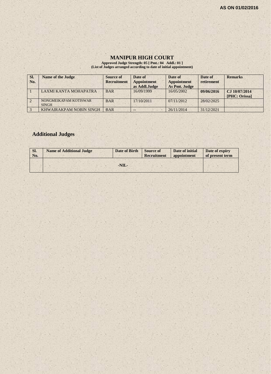## **MANIPUR HIGH COURT**

**Approved Judge Strength: 05 [ Pmt.: 04 Addl.: 01 ] (List of Judges arranged according to date of initial appointment)**

| SI. | <b>Name of the Judge</b>              | Source of          | Date of                             | Date of                             | Date of    | <b>Remarks</b>                 |
|-----|---------------------------------------|--------------------|-------------------------------------|-------------------------------------|------------|--------------------------------|
| No. |                                       | <b>Recruitment</b> | <b>Appointment</b><br>as Addl.Judge | <b>Appointment</b><br>As Pmt. Judge | retirement |                                |
|     | LAXMI KANTA MOHAPATRA                 | <b>BAR</b>         | 16/09/1999                          | 16/05/2002                          | 09/06/2016 | CJ 10/07/2014<br>[PHC: Orissa] |
|     | NONGMEIKAPAM KOTISWAR<br><b>SINGH</b> | <b>BAR</b>         | 17/10/2011                          | 07/11/2012                          | 28/02/2025 |                                |
|     | KHWAIRAKPAM NOBIN SINGH               | <b>BAR</b>         | $- -$                               | 26/11/2014                          | 31/12/2021 |                                |

## **Additional Judges**

| SI.<br>No. | <b>Name of Additional Judge</b> | Date of Birth | <b>Source of</b><br><b>Recruitment</b> | Date of initial<br>appointment | Date of expiry<br>of present term |
|------------|---------------------------------|---------------|----------------------------------------|--------------------------------|-----------------------------------|
|            |                                 |               |                                        |                                |                                   |
|            |                                 | $-NIL-$       |                                        |                                |                                   |
|            |                                 |               |                                        |                                |                                   |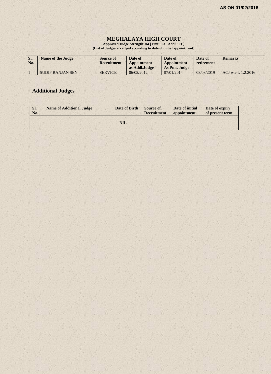### **MEGHALAYA HIGH COURT**

**Approved Judge Strength: 04 [ Pmt.: 03 Addl.: 01 ] (List of Judges arranged according to date of initial appointment)**

| SI. | No. | <b>Name of the Judge</b> | Source of<br>Recruitment | Date of<br>Appointment<br>as Addl.Judge | Date of<br>Appointment<br>As Pmt. Judge | Date of<br>retirement | <b>Remarks</b>      |
|-----|-----|--------------------------|--------------------------|-----------------------------------------|-----------------------------------------|-----------------------|---------------------|
|     |     | SUDIP RANJAN SEN         | <b>SERVICE</b>           | 06/02/2012                              | 07/01/2014                              | 08/03/2019            | ACJ w.e.f. 1.2.2016 |

## **Additional Judges**

| Sl.<br>No. | <b>Name of Additional Judge</b> | Date of Birth | <b>Source of</b><br>Recruitment | Date of initial<br>appointment | Date of expiry<br>of present term |
|------------|---------------------------------|---------------|---------------------------------|--------------------------------|-----------------------------------|
|            |                                 | $-NIL-$       |                                 |                                |                                   |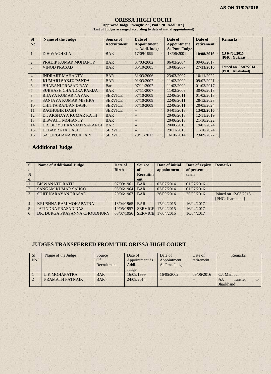#### **ORISSA HIGH COURT**

**Approved Judge Strength: 27 [ Pmt.: 20 Addl.: 07 ] (List of Judges arranged according to date of initial appointment)**

| <b>SI</b>      | <b>Name of the Judge</b>      | <b>Source of</b>   | Date of            | Date of            | Date of    | <b>Remarks</b>                                  |
|----------------|-------------------------------|--------------------|--------------------|--------------------|------------|-------------------------------------------------|
| N <sub>0</sub> |                               | <b>Recruitment</b> | <b>Appointment</b> | <b>Appointment</b> | retirement |                                                 |
|                |                               |                    | as Addl.Judge      | As Pmt. Judge      |            |                                                 |
|                | <b>D.H.WAGHELA</b>            | <b>BAR</b>         | 17/09/1999         | 18/06/2001         | 10/08/2016 | CJ 04/06/2015<br>[PHC: Gujarat]                 |
| $\overline{2}$ | PRADIP KUMAR MOHANTY          | <b>BAR</b>         | 07/03/2002         | 06/03/2004         | 09/06/2017 |                                                 |
| 3              | <b>VINOD PRASAD</b>           | <b>BAR</b>         | 05/10/2005         | 10/08/2007         | 27/11/2016 | <b>Joined on 02/07/2014</b><br>[PHC: Allahabad] |
| $\overline{4}$ | <b>INDRAJIT MAHANTY</b>       | <b>BAR</b>         | 31/03/2006         | 23/03/2007         | 10/11/2022 |                                                 |
| 5              | <b>KUMARI SANJU PANDA</b>     | <b>BAR</b>         | 01/03/2007         | 11/02/2009         | 09/07/2021 |                                                 |
| 6              | <b>BHABANI PRASAD RAY</b>     | Bar                | 07/11/2007         | 11/02/2009         | 01/03/2017 |                                                 |
| 7              | <b>SUBHASH CHANDRA PARIJA</b> | <b>BAR</b>         | 07/11/2007         | 11/02/2009         | 30/06/2018 |                                                 |
| 8              | <b>BIJAYA KUMAR NAYAK</b>     | <b>SERVICE</b>     | 07/10/2009         | 22/06/2011         | 01/02/2018 |                                                 |
| 9              | SANJAYA KUMAR MISHRA          | <b>SERVICE</b>     | 07/10/2009         | 22/06/2011         | 28/12/2023 |                                                 |
| 10             | <b>CHITTA RANJAN DASH</b>     | <b>SERVICE</b>     | 07/10/2009         | 22/06/2011         | 20/05/2024 |                                                 |
| 11             | <b>RAGHUBIR DASH</b>          | <b>SERVICE</b>     | --                 | 04/01/2013         | 13/02/2016 |                                                 |
| 12             | Dr. AKSHAYA KUMAR RATH        | <b>BAR</b>         | --                 | 20/06/2013         | 12/11/2019 |                                                 |
| 13             | <b>BISWAJIT MOHANTY</b>       | <b>BAR</b>         | $--$               | 20/06/2013         | 21/10/2022 |                                                 |
| 14             | DR. BIDYUT RANJAN SARANGI     | <b>BAR</b>         | A.                 | 20/06/2013         | 19/07/2024 |                                                 |
| 15             | <b>DEBABRATA DASH</b>         | <b>SERVICE</b>     | шĎ                 | 29/11/2013         | 11/10/2024 |                                                 |
| 16             | SATURGHANA PUJAHARI           | <b>SERVICE</b>     | 29/11/2013         | 16/10/2014         | 23/09/2022 |                                                 |

## **Additional Judge**

| <b>SI</b>      | <b>Name of Additional Judge</b> | Date of<br><b>Birth</b> | <b>Source</b><br>of | Date of initial<br>appointment | Date of expiry<br>of present | <b>Remarks</b>       |
|----------------|---------------------------------|-------------------------|---------------------|--------------------------------|------------------------------|----------------------|
| N              |                                 |                         | <b>Recruitm</b>     |                                | term                         |                      |
| $\mathbf{0}$   |                                 |                         | ent                 |                                |                              |                      |
|                | <b>BISWANATH RATH</b>           | 07/09/1961              | <b>BAR</b>          | 02/07/2014                     | 01/07/2016                   |                      |
| 2              | <b>SANGAM KUMAR SAHOO</b>       | 05/06/1964              | <b>BAR</b>          | 02/07/2014                     | 01/07/2016                   |                      |
| 3              | <b>SUJIT NARAYAN PRASAD</b>     | 20/06/1967              | <b>BAR</b>          | 26/09/2014                     | 25/09/2016                   | Joined on 12/03/2015 |
|                |                                 |                         |                     |                                |                              | [PHC: Jharkhand]     |
| $\overline{4}$ | KRUSHNA RAM MOHAPATRA           | 18/04/1965              | <b>BAR</b>          | 17/04/2015                     | 16/04/2017                   |                      |
|                | <b>JATINDRA PRASAD DAS</b>      | 19/05/1957              | <b>SERVICE</b>      | 17/04/2015                     | 16/04/2017                   |                      |
| 6              | DR. DURGA PRASANNA CHOUDHURY    | 03/07/1956              | <b>SERVICE</b>      | 17/04/2015                     | 16/04/2017                   |                      |

## **JUDGES TRANSFERRED FROM THE ORISSA HIGH COURT**

| <sub>S1</sub>  | Name of the Judge | Source      | Date of        | Date of       | Date of    | Remarks               |
|----------------|-------------------|-------------|----------------|---------------|------------|-----------------------|
| N <sub>o</sub> |                   | Of          | Appointment as | Appointment   | retirement |                       |
|                |                   | Recruitment | Addl.          | As Pmt. Judge |            |                       |
|                |                   |             | Judge          |               |            |                       |
|                | L.K.MOHAPATRA     | <b>BAR</b>  | 16/09/1999     | 16/05/2002    | 09/06/2016 | CJ. Manipur           |
|                | PRAMATH PATNAIK   | <b>BAR</b>  | 24/09/2014     | --            |            | AJ.<br>transfer<br>to |
|                |                   |             |                |               |            | Jharkhand             |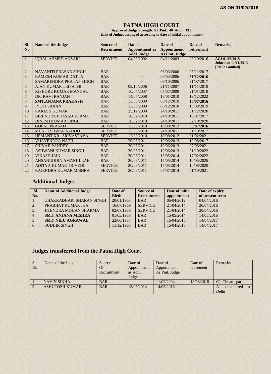#### **PATNA HIGH COURT**

**Approved Judge Strength: 53 [Pmt.: 40 Addl.: 13 ] (List of Judges arranged according to date of initial appointment)**

| <b>SI</b>       | <b>Name of the Judge</b>     | <b>Source of</b>   | Date of               | Date of            | Date of    | <b>Remarks</b>                                                  |
|-----------------|------------------------------|--------------------|-----------------------|--------------------|------------|-----------------------------------------------------------------|
| N <sub>o</sub>  |                              | <b>Recruitment</b> | <b>Appointment</b> as | <b>Appointment</b> | retirement |                                                                 |
|                 |                              |                    | <b>Addl. Judge</b>    | As Pmt. Judge      |            |                                                                 |
| $\mathbf{1}$    | <b>IQBAL AHMED ANSARI</b>    | <b>SERVICE</b>     | 04/03/2002            | 04/11/2003         | 28/10/2016 | ACJ 01/08/2015<br><b>Joined on 11/11/2013</b><br>[PHC: Gauhati] |
| $\overline{2}$  | <b>NAVANITI PRASAD SINGH</b> | <b>BAR</b>         | --                    | 06/03/2006         | 05/11/2017 |                                                                 |
| 3               | <b>RAMESH KUMAR DATTA</b>    | <b>BAR</b>         | $-$                   | 06/03/2006         | 31/12/2016 |                                                                 |
| $\overline{4}$  | SAMARENDRA PRATAP SINGH      | <b>BAR</b>         | ż.                    | 09/10/2006         | 31/07/2017 |                                                                 |
| 5               | <b>AJAY KUMAR TRIPATHI</b>   | <b>BAR</b>         | 09/10/2006            | 21/11/2007         | 11/11/2019 |                                                                 |
| 6               | KISHORE KUMAR MANDAL         | <b>BAR</b>         | 10/07/2007            | 07/07/2009         | 21/01/2018 |                                                                 |
| $7\phantom{.0}$ | DR. RAVI RANJAN              | <b>BAR</b>         | 14/07/2008            | 16/01/2010         | 19/12/2022 |                                                                 |
| 8               | <b>SMT.ANJANA PRAKASH</b>    | <b>BAR</b>         | 13/06/2009            | 06/12/2010         | 16/07/2016 |                                                                 |
| 9               | <b>JYOTI SARAN</b>           | <b>BAR</b>         | 13/06/2009            | 06/12/2010         | 18/08/2019 |                                                                 |
| 10              | <b>RAKESH KUMAR</b>          | <b>BAR</b>         | 25/12/2009            | 24/10/2011         | 31/12/2020 |                                                                 |
| 11              | <b>BIRENDRA PRASAD VERMA</b> | <b>BAR</b>         | 18/02/2010            | 24/10/2011         | 16/01/2017 |                                                                 |
| 12              | <b>DINESH KUMAR SINGH</b>    | <b>BAR</b>         | 18/02/2010            | 24/10/2011         | 02/10/2020 |                                                                 |
| 13              | <b>GOPAL PRASAD</b>          | <b>SERVICE</b>     | 15/03/2010            | 10/08/2012         | 05/07/2016 |                                                                 |
| 14              | <b>MUNGESHWAR SAHOO</b>      | <b>SERVICE</b>     | 15/03/2010            | 24/10/2011         | 31/10/2017 |                                                                 |
| 15              | HEMANT KR. SRIVASTAVA        | <b>SERVICE</b>     | 12/08/2010            | 10/08/2012         | 01/02/2021 |                                                                 |
| 16              | <b>VIJAYENDRA NATH</b>       | <b>BAR</b>         | 20/06/2011            | 19/06/2013         | 12/08/2017 |                                                                 |
| 17              | <b>SHIVAJI PANDEY</b>        | <b>BAR</b>         | 20/06/2011            | 19/06/2013         | 07/05/2021 |                                                                 |
| 18              | <b>ASHWANI KUMAR SINGH</b>   | <b>BAR</b>         | 20/06/2011            | 19/06/2013         | 31/10/2022 |                                                                 |
| 19              | <b>VIKASH JAIN</b>           | <b>BAR</b>         | 20/06/2011            | 15/05/2014         | 17/02/2022 |                                                                 |
| 20              | <b>AHSANUDDIN AMANULLAH</b>  | <b>BAR</b>         | 20/06/2011            | 15/05/2014         | 10/05/2025 |                                                                 |
| 21              | <b>ADITYA KUMAR TRIVEDI</b>  | <b>SERVICE</b>     | 20/06/2011            | 15/05/2014         | 10/08/2020 |                                                                 |
| 22              | RAJENDRA KUMAR MISHRA        | <b>SERVICE</b>     | 20/06/2011            | 07/07/2014         | 01/10/2021 |                                                                 |

## **Additional Judges**

| SI. | <b>Name of Additional Judge</b> | Date of      | Source of          | Date of initial | Date of expiry  |
|-----|---------------------------------|--------------|--------------------|-----------------|-----------------|
| No. |                                 | <b>Birth</b> | <b>Recruitment</b> | appointment     | of present term |
|     | <b>CHAKRADHARI SHARAN SINGH</b> | 20/01/1963   | <b>BAR</b>         | 05/04/2012      | 04/04/2016      |
|     | PRABHAT KUMAR JHA               | 16/07/1959   | <b>SERVICE</b>     | 21/04/2014      | 20/04/2016      |
|     | <b>JITENDRA MOHAN SHARMA</b>    | 02/07/1956   | <b>SERVICE</b>     | 21/04/2014      | 20/04/2016      |
|     | <b>SMT. ANJANA MISHRA</b>       | 01/03/1958   | <b>BAR</b>         | 15/05/2014      | 14/05/2016      |
|     | <b>SMT. NILU AGRAWAL</b>        | 22/06/1957   | <b>BAR</b>         | 15/04/2015      | 14/04/2017      |
|     | <b>SUDHIR SINGH</b>             | 11/12/1965   | <b>BAR</b>         | 15/04/2015      | 14/04/2017      |

## **Judges transferred from the Patna High Court**

| Sl. | Name of the Judge     | Source      | Date of     | Date of       | Date of    | Remarks                             |
|-----|-----------------------|-------------|-------------|---------------|------------|-------------------------------------|
| No. |                       | <b>Of</b>   | Appointment | Appointment   | retirement |                                     |
|     |                       | Recruitment | as Addl.    | As Pmt. Judge |            |                                     |
|     |                       |             | Judge       |               |            |                                     |
|     | <b>NAVIN SINHA</b>    | <b>BAR</b>  |             | 11/02/2004    | 18/08/2018 | CJ, Chhattisgarh                    |
|     | <b>ASHUTOSH KUMAR</b> | <b>BAR</b>  | 15/05/2014  | 14/05/2016    |            | transferred<br>AJ.<br>$\mathsf{to}$ |
|     |                       |             |             |               |            | Delhi                               |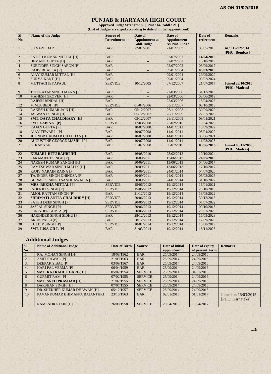#### **PUNJAB & HARYANA HIGH COURT**

**Approved Judge Strength: 85 [ Pmt.: 64 Addl.: 21 ] (List of Judges arranged according to date of initial appointment)**

| <b>SI</b>       | Name of the Judge                    | <b>Source of</b>   | Date of                  | Date of              | Date of    | <b>Remarks</b>                            |
|-----------------|--------------------------------------|--------------------|--------------------------|----------------------|------------|-------------------------------------------|
| N <sub>o</sub>  |                                      | <b>Recruitment</b> | <b>Appointment</b> as    | <b>Appointment</b>   | retirement |                                           |
|                 |                                      |                    | Addl.Judge               | <b>As Pmt. Judge</b> |            |                                           |
| $\mathbf{1}$    | <b>S.J.VAZIFDAR</b>                  | <b>BAR</b>         | 22/01/2001               | 21/01/2003           | 03/05/2018 | ACJ 15/12/2014                            |
|                 |                                      |                    |                          |                      |            | [PHC: Bombay]                             |
| $\overline{2}$  | <b>SATISH KUMAR MITTAL [H]</b>       | <b>BAR</b>         | $-$                      | 02/07/2002           | 14/04/2016 |                                           |
| $\mathfrak{Z}$  | <b>HEMANT GUPTA [H]</b>              | <b>BAR</b>         | $\overline{\phantom{a}}$ | 02/07/2002           | 16/10/2019 |                                           |
| $\overline{4}$  | <b>SURINDER SINGH SARON [P]</b>      | <b>BAR</b>         | --                       | 02/07/2002           | 03/09/2017 |                                           |
| 5               | <b>RAJIV BHALLA [P]</b>              | <b>BAR</b>         | $\overline{a}$           | 09/01/2004           | 03/03/2016 |                                           |
| $6\,$           | <b>AJAY KUMAR MITTAL [H]</b>         | <b>BAR</b>         | -                        | 09/01/2004           | 29/09/2020 |                                           |
| $7\overline{ }$ | <b>SURYA KANT [H]</b>                | <b>BAR</b>         |                          | 09/01/2004           | 09/02/2024 |                                           |
| 8               | <b>MUTTACI JEYAPAUL</b>              | <b>SERVICE</b>     | 10/12/2005               | 07/12/2007           | 21/07/2017 | <b>Joined 28/10/2010</b><br>[PHC: Madras] |
| 9               | TEJ PRATAP SINGH MANN [P]            | <b>BAR</b>         |                          | 22/03/2006           | 31/12/2018 |                                           |
| 10              | <b>MAHESH GROVER [H]</b>             | <b>BAR</b>         | $--$                     | 22/03/2006           | 03/06/2019 |                                           |
| 11              | <b>RAJESH BINDAL [H]</b>             | <b>BAR</b>         |                          | 22/03/2006           | 15/04/2023 |                                           |
| 12              | M.M.S. BEDI [P]                      | <b>SERVICE</b>     | 01/04/2006               | 05/11/2007           | 08/10/2018 |                                           |
| 13              | <b>RAKESH KUMAR JAIN [H]</b>         | <b>BAR</b>         | 05/12/2007               | 26/11/2008           | 30/09/2020 |                                           |
| 14              | <b>JASWANT SINGH [H]</b>             | <b>BAR</b>         | 05/12/2007               | 28/11/2009           | 22/02/2023 |                                           |
| 15              | <b>SMT. DAYA CHAUDHARY [H]</b>       | <b>BAR</b>         | 05/12/2007               | 28/11/2009           | 09/01/2021 |                                           |
| 16              | SMT. SABINA [P]                      | <b>SERVICE</b>     | 12/03/2008               | 23/02/2010           | 19/04/2023 |                                           |
| 17              | <b>RAJAN GUPTA [P]</b>               | <b>BAR</b>         | 10/07/2008               | 14/01/2011           | 13/09/2022 |                                           |
| 18              | AJAY TEWARI [P]                      | <b>BAR</b>         | 10/07/2008               | 14/01/2011           | 05/04/2022 |                                           |
| 19              | <b>JITENDRA KUMAR CHAUHAN [H]</b>    | <b>BAR</b>         | 10/07/2008               | 14/01/2011           | 05/06/2021 |                                           |
| 20              | <b>AUGUSTINE GEORGE MASIH [P]</b>    | <b>BAR</b>         | 10/07/2008               | 14/01/2011           | 11/03/2025 |                                           |
| 21              | K. KANNAN                            | <b>BAR</b>         | 31/07/2008               | 30/07/2010           | 05/06/2016 | <b>Joined 05/11/2008</b><br>[PHC: Madras] |
| 22              | <b>KUMARI RITU BAHRI [H]</b>         | <b>BAR</b>         | 16/08/2010               | 23/02/2012           | 10/10/2024 |                                           |
| 23              | <b>PARAMJEET SINGH [P]</b>           | <b>BAR</b>         | 30/09/2011               | 13/06/2013           | 24/07/2016 |                                           |
| 24              | <b>NARESH KUMAR SANGHI [H]</b>       | <b>BAR</b>         | 30/09/2011               | 13/06/2013           | 04/06/2017 |                                           |
| 25              | <b>RAMESHWAR SINGH MALIK [H]</b>     | <b>BAR</b>         | 30/09/2011               | 13/06/2013           | 17/10/2017 |                                           |
| 26              | <b>RAJIV NARAIN RAINA [P]</b>        | <b>BAR</b>         | 30/09/2011               | 24/01/2014           | 04/07/2020 |                                           |
| 27              | <b>TAJINDER SINGH DHINDSA [P]</b>    | <b>BAR</b>         | 30/09/2011               | 24/01/2014           | 05/03/2023 |                                           |
| 28              | <b>GURMEET SINGH SANDHAWALIA [P]</b> | <b>BAR</b>         | 30/09/2011               | 24/01/2014           | 31/10/2027 |                                           |
| 29              | <b>MRS. REKHA MITTAL [P]</b>         | <b>SERVICE</b>     | 15/06/2012               | 19/12/2014           | 16/01/2021 |                                           |
| 30              | <b>INDERJIT SINGH [P]</b>            | <b>SERVICE</b>     | 15/06/2012               | 19/12/2014           | 23/10/2019 |                                           |
| 31              | <b>AMOL RATTAN SINGH [P]</b>         | <b>BAR</b>         | 21/12/2012               | 19/12/2014           | 18/08/2022 |                                           |
| 32              | <b>SHRIMATI ANITA CHAUDHRY [H]</b>   | <b>SERVICE</b>     | 20/06/2013               | 19/12/2014           | 30/12/2018 |                                           |
| 33              | <b>FATEH DEEP SINGH [P]</b>          | <b>SERVICE</b>     | 20/06/2013               | 19/12/2014           | 07/07/2022 |                                           |
| 34              | <b>JASPAL SINGH [P]</b>              | <b>SERVICE</b>     | 20/06/2013               | 19/12/2014           | 09/10/2018 |                                           |
| 35              | <b>SURINDER GUPTA [P]</b>            | <b>SERVICE</b>     | 20/06/2013               | 19/12/2014           | 29/03/2020 |                                           |
| 36              | <b>HARINDER SINGH SIDHU [P]</b>      | <b>BAR</b>         | 28/12/2013               | 19/12/2014           | 16/05/2023 |                                           |
| 37              | <b>ARUN PALLI [P]</b>                | <b>BAR</b>         | 28/12/2013               | 19/12/2014           | 17/09/2026 |                                           |
| 38              | <b>KULDIP SINGH [P]</b>              | <b>SERVICE</b>     | 10/01/2014               | 19/12/2014           | 15/08/2019 |                                           |
|                 |                                      |                    |                          |                      |            |                                           |
| 39              | <b>SMT. LISA GILL [P]</b>            | <b>BAR</b>         | 31/03/2014               | 19/12/2014           | 16/11/2028 |                                           |

## **Additional Judges**

| SI.            | <b>Name of Additional Judge</b> | <b>Date of Birth</b> | <b>Source</b>  | Date of initial | Date of expiry  | <b>Remarks</b>       |
|----------------|---------------------------------|----------------------|----------------|-----------------|-----------------|----------------------|
| No.            |                                 |                      |                | appointment     | of present term |                      |
|                | <b>RAJ MOHAN SINGH [H]</b>      | 18/08/1962           | <b>BAR</b>     | 25/09/2014      | 24/09/2016      |                      |
| 2              | <b>AMIT RAWAL [P]</b>           | 21/09/1963           | <b>BAR</b>     | 25/09/2014      | 24/09/2016      |                      |
| 3.             | <b>DEEPAK SIBAL [P]</b>         | 03/09/1967           | <b>BAR</b>     | 25/09/2014      | 24/09/2016      |                      |
| 4.             | <b>HARI PAL VERMA [P]</b>       | 06/04/1959           | <b>BAR</b>     | 25/09/2014      | 24/09/2016      |                      |
| 5 <sub>1</sub> | <b>SMT. RAJ RAHUL GARG[H]</b>   | 05/07/1954           | <b>SERVICE</b> | 25/09/2014      | 04/07/2016      |                      |
| 6              | <b>GURMIT RAM [P]</b>           | 07/02/1955           | <b>SERVICE</b> | 25/09/2014      | 24/09/2016      |                      |
|                | <b>SMT. SNEH PRASHAR [H]</b>    | 21/07/1955           | <b>SERVICE</b> | 25/09/2014      | 24/09/2016      |                      |
| 8              | <b>DARSHAN SINGH [H]</b>        | 07/07/1955           | <b>SERVICE</b> | 25/09/2014      | 24/09/2016      |                      |
| 9              | DR. SHEKHER KUMAR DHAWAN [H]    | 05/12/1957           | <b>SERVICE</b> | 25/09/2014      | 24/09/2016      |                      |
| 10             | PAVANKUMAR BHIMAPPA BAJANTHRI   | 23/10/1963           | <b>BAR</b>     | 02/01/2015      | 01/01/2017      | Joined on 16/03/2015 |
|                |                                 |                      |                |                 |                 | [PHC: Karnataka]     |
| 11             | <b>RAMENDRA JAIN [H]</b>        | 26/08/1958           | <b>SERVICE</b> | 20/04/2015      | 19/04/2017      |                      |

**…2/-**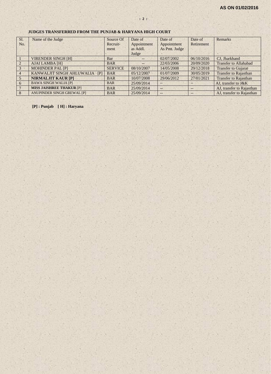#### **JUDGES TRANSFERRED FROM THE PUNJAB & HARYANA HIGH COURT**

| Sl.            | Name of the Judge                 | Source Of      | Date of     | Date of           | Date of    | Remarks                      |
|----------------|-----------------------------------|----------------|-------------|-------------------|------------|------------------------------|
| No.            |                                   | Recruit-       | Appointment | Appointment       | Retirement |                              |
|                |                                   | ment           | as Addl.    | As Pmt. Judge     |            |                              |
|                |                                   |                | Judge       |                   |            |                              |
|                | <b>VIRENDER SINGH [H]</b>         | Bar            | $--$        | 02/07/2002        | 06/10/2016 | CJ, Jharkhand                |
|                | <b>AJAI LAMBA [H]</b>             | <b>BAR</b>     | $--$        | 22/03/2006        | 20/09/2020 | <b>Transfer to Allahabad</b> |
| 3              | <b>MOHINDER PAL [P]</b>           | <b>SERVICE</b> | 08/10/2007  | 14/05/2008        | 29/12/2018 | <b>Transfer to Gujarat</b>   |
| $\overline{4}$ | KANWALJIT SINGH AHLUWALIA<br>IP   | <b>BAR</b>     | 05/12/2007  | 01/07/2009        | 30/05/2019 | <b>Transfer to Rajasthan</b> |
| $\sqrt{5}$     | <b>NIRMALJIT KAUR [P]</b>         | <b>BAR</b>     | 10/07/2008  | 29/06/2012        | 27/01/2021 | <b>Transfer to Rajasthan</b> |
| 6              | <b>BAWA SINGH WALIA [P]</b>       | <b>BAR</b>     | 25/09/2014  | $\qquad \qquad -$ |            | AJ, transfer to J&K          |
|                | <b>MISS JAISHREE THAKUR [P]</b>   | <b>BAR</b>     | 25/09/2014  | ÷                 |            | AJ, transfer to Rajasthan    |
|                | <b>ANUPINDER SINGH GREWAL [P]</b> | <b>BAR</b>     | 25/09/2014  | $--$              |            | AJ, transfer to Rajasthan    |

**[P] : Punjab [ H] : Haryana**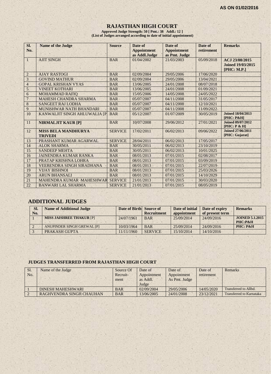## **RAJASTHAN HIGH COURT**

**Approved Judge Strength: 50 [ Pmt.: 38 Addl.: 12 ] (List of Judges arranged according to date of initial appointment)**

| Sl.<br>No.      | <b>Name of the Judge</b>                     | <b>Source</b>  | Date of<br><b>Appointment</b><br>as Addl.Judge | Date of<br><b>Appointment</b><br>as Pmt. Judge | Date of<br>retirement | <b>Remarks</b>                                            |
|-----------------|----------------------------------------------|----------------|------------------------------------------------|------------------------------------------------|-----------------------|-----------------------------------------------------------|
| 1               | <b>AJIT SINGH</b>                            | <b>BAR</b>     | 01/04/2002                                     | 21/03/2003                                     | 05/09/2018            | ACJ 23/08/2015<br><b>Joined 19/03/2015</b><br>[PHC: M.P.] |
| $\overline{2}$  | <b>AJAY RASTOGI</b>                          | <b>BAR</b>     | 02/09/2004                                     | 29/05/2006                                     | 17/06/2020            |                                                           |
| 3               | <b>GOVIND MATHUR</b>                         | <b>BAR</b>     | 02/09/2004                                     | 29/05/2006                                     | 13/04/2021            |                                                           |
| $\overline{4}$  | <b>GOPAL KRISHAN VYAS</b>                    | <b>BAR</b>     | 13/06/2005                                     | 24/01/2008                                     | 08/07/2018            |                                                           |
| $\mathfrak{S}$  | <b>VINEET KOTHARI</b>                        | <b>BAR</b>     | 13/06/2005                                     | 24/01/2008                                     | 01/09/2021            |                                                           |
| 6               | <b>MOHAMMAD RAFIQ</b>                        | <b>BAR</b>     | 15/05/2006                                     | 14/05/2008                                     | 24/05/2022            |                                                           |
| $\overline{7}$  | <b>MAHESH CHANDRA SHARMA</b>                 | <b>BAR</b>     | 05/07/2007                                     | 04/11/2008                                     | 31/05/2017            |                                                           |
| $8\phantom{1}$  | <b>SANGEET RAJ LODHA</b>                     | <b>BAR</b>     | 05/07/2007                                     | 04/11/2008                                     | 12/10/2021            |                                                           |
| 9               | MUNISHWAR NATH BHANDARI                      | <b>BAR</b>     | 05/07/2007                                     | 04/11/2008                                     | 11/09/2022            |                                                           |
| 10              | KANWALJIT SINGH AHLUWALIA [P                 | <b>BAR</b>     | 05/12/2007                                     | 01/07/2009                                     | 30/05/2019            | <b>Joined 18/04/2013</b><br><b>[PHC: P&amp;H]</b>         |
| 11              | <b>NIRMALJIT KAUR [P]</b>                    | <b>BAR</b>     | 10/07/2008                                     | 29/06/2012                                     | 27/01/2021            | <b>Joined 09/07/2012</b><br>[PHC: P & H]                  |
| 12              | <b>MISS BELA MANDHURYA</b><br><b>TRIVEDI</b> | <b>SERVICE</b> | 17/02/2011                                     | 06/02/2013                                     | 09/06/2022            | <b>Joined 27/06/2011</b><br>[PHC: Gujarat]                |
| 13              | PRASHANT KUMAR AGARWAL                       | <b>SERVICE</b> | 28/04/2011                                     | 06/02/2013                                     | 17/05/2017            |                                                           |
| 14              | <b>ALOK SHARMA</b>                           | <b>BAR</b>     | 30/05/2011                                     | 06/02/2013                                     | 23/10/2019            |                                                           |
| 15              | <b>SANDEEP MEHTA</b>                         | <b>BAR</b>     | 30/05/2011                                     | 06/02/2013                                     | 10/01/2025            |                                                           |
| 16              | <b>JAINENDRA KUMAR RANKA</b>                 | <b>BAR</b>     | 08/01/2013                                     | 07/01/2015                                     | 02/08/2017            |                                                           |
| 17              | PRATAP KRISHNA LOHRA                         | <b>BAR</b>     | 08/01/2013                                     | 07/01/2015                                     | 03/09/2019            |                                                           |
| 18              | <b>VEERENDRA SINGH SIRADHANA</b>             | <b>BAR</b>     | 08/01/2013                                     | 07/01/2015                                     | 22/07/2019            |                                                           |
| 19              | <b>VIJAY BISHNOI</b>                         | <b>BAR</b>     | 08/01/2013                                     | 07/01/2015                                     | 25/03/2026            |                                                           |
| 20              | <b>ARUN BHANSALI</b>                         | <b>BAR</b>     | 08/01/2013                                     | 07/01/2015                                     | 14/10/2029            |                                                           |
| $\overline{21}$ | MAHENDRA KUMAR MAHESHWAR                     | <b>SERVICE</b> | 21/01/2013                                     | 07/01/2015                                     | 30/03/2020            |                                                           |
| 22              | <b>BANWARI LAL SHARMA</b>                    | <b>SERVICE</b> | 21/01/2013                                     | 07/01/2015                                     | 08/05/2019            |                                                           |

## **ADDITIONAL JUDGES**

| Sl.<br>No. | <b>Name of Additional Judge</b> | Date of Birth Source of | <b>Recruitment</b> | Date of initial<br>appointment | Date of expiry<br>of present term | <b>Remarks</b>                    |
|------------|---------------------------------|-------------------------|--------------------|--------------------------------|-----------------------------------|-----------------------------------|
|            | <b>MISS JAISHREE THAKUR [P]</b> | 24/07/1961              | <b>BAR</b>         | 25/09/2014                     | 24/09/2016                        | <b>JOINED 5.1.2015</b><br>PHC:P&H |
|            | ANUPINDER SINGH GREWAL [P]      | 10/03/1964              | <b>BAR</b>         | 25/09/2014                     | 24/09/2016                        | PHC: P&H                          |
|            | PRAKASH GUPTA                   | 11/11/1960              | <b>SERVICE</b>     | 15/10/2014                     | 14/10/2016                        |                                   |

#### **JUDGES TRANSFERRED FROM RAJASTHAN HIGH COURT**

| Sl.<br>No. | Name of the Judge        | Source Of<br>Recruit-<br>ment | Date of<br>Appointment<br>as Addl.<br>Judge | Date of<br>Appointment<br>As Pmt. Judge | Date of<br>retirement | Remarks                  |
|------------|--------------------------|-------------------------------|---------------------------------------------|-----------------------------------------|-----------------------|--------------------------|
|            | DINESH MAHESHWARI        | <b>BAR</b>                    | 02/09/2004                                  | 29/05/2006                              | 14/05/2020            | Transferred to Allbd.    |
|            | RAGHVENDRA SINGH CHAUHAN | <b>BAR</b>                    | 13/06/2005                                  | 24/01/2008                              | 23/12/2021            | Transferred to Karnataka |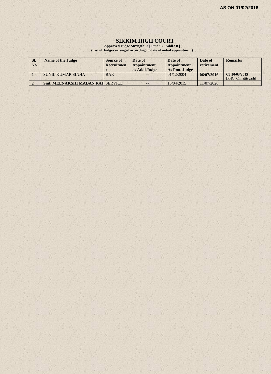## **SIKKIM HIGH COURT**

**Approved Judge Strength: 3 [ Pmt.: 3 Addl.: 0 ] (List of Judges arranged according to date of initial appointment)**

| SI.<br>No. | Name of the Judge                       | <b>Source of</b><br>Recruitmen | Date of<br>Appointment<br>as Addl.Judge | Date of<br>Appointment<br>As Pmt. Judge | Date of<br>retirement | <b>Remarks</b>                       |
|------------|-----------------------------------------|--------------------------------|-----------------------------------------|-----------------------------------------|-----------------------|--------------------------------------|
|            | SUNIL KUMAR SINHA                       | <b>BAR</b>                     |                                         | 01/12/2004                              | 06/07/2016            | CJ 30/03/2015<br>[PHC: Chhattisgarh] |
|            | <b>Smt. MEENAKSHI MADAN RAI SERVICE</b> |                                | --                                      | 15/04/2015                              | 11/07/2026            |                                      |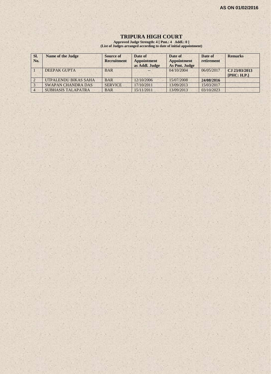#### **TRIPURA HIGH COURT**

**Approved Judge Strength: 4 [ Pmt.: 4 Addl.: 0 ] (List of Judges arranged according to date of initial appointment)**

| SI.<br>No. | <b>Name of the Judge</b>  | <b>Source of</b><br><b>Recruitment</b> | Date of<br><b>Appointment</b><br>as Addl. Judge | Date of<br>Appointment<br>As Pmt. Judge | Date of<br>retirement | <b>Remarks</b>               |
|------------|---------------------------|----------------------------------------|-------------------------------------------------|-----------------------------------------|-----------------------|------------------------------|
|            | DEEPAK GUPTA              | <b>BAR</b>                             |                                                 | 04/10/2004                              | 06/05/2017            | CJ 23/03/2013<br>[PHC: H.P.] |
|            | UTPALENDU BIKAS SAHA      | <b>BAR</b>                             | 12/10/2006                                      | 15/07/2008                              | 24/08/2016            |                              |
|            | <b>SWAPAN CHANDRA DAS</b> | <b>SERVICE</b>                         | 17/10/2011                                      | 13/09/2013                              | 15/03/2017            |                              |
|            | <b>SUBHASIS TALAPATRA</b> | <b>BAR</b>                             | 15/11/2011                                      | 13/09/2013                              | 03/10/2023            |                              |